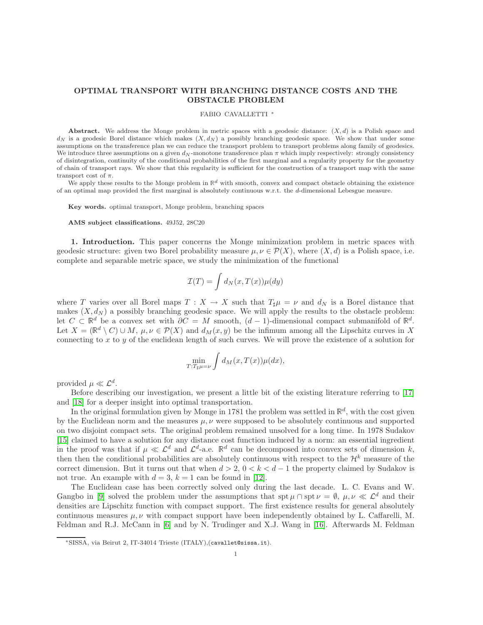# OPTIMAL TRANSPORT WITH BRANCHING DISTANCE COSTS AND THE OBSTACLE PROBLEM

### FABIO CAVALLETTI <sup>∗</sup>

Abstract. We address the Monge problem in metric spaces with a geodesic distance:  $(X, d)$  is a Polish space and  $d_N$  is a geodesic Borel distance which makes  $(X, d_N)$  a possibly branching geodesic space. We show that under some assumptions on the transference plan we can reduce the transport problem to transport problems along family of geodesics. We introduce three assumptions on a given  $d_N$ -monotone transference plan  $\pi$  which imply respectively: strongly consistency of disintegration, continuity of the conditional probabilities of the first marginal and a regularity property for the geometry of chain of transport rays. We show that this regularity is sufficient for the construction of a transport map with the same transport cost of  $\pi$ .

We apply these results to the Monge problem in  $\mathbb{R}^d$  with smooth, convex and compact obstacle obtaining the existence of an optimal map provided the first marginal is absolutely continuous w.r.t. the d-dimensional Lebesgue measure.

Key words. optimal transport, Monge problem, branching spaces

AMS subject classifications. 49J52, 28C20

1. Introduction. This paper concerns the Monge minimization problem in metric spaces with geodesic structure: given two Borel probability measure  $\mu, \nu \in \mathcal{P}(X)$ , where  $(X, d)$  is a Polish space, i.e. complete and separable metric space, we study the minimization of the functional

$$
\mathcal{I}(T) = \int d_N(x, T(x)) \mu(dy)
$$

where T varies over all Borel maps  $T : X \to X$  such that  $T_{\sharp}\mu = \nu$  and  $d_N$  is a Borel distance that makes  $(X, d_N)$  a possibly branching geodesic space. We will apply the results to the obstacle problem: let  $C \subset \mathbb{R}^d$  be a convex set with  $\partial C = M$  smooth,  $(d-1)$ -dimensional compact submanifold of  $\mathbb{R}^d$ . Let  $X = (\mathbb{R}^d \setminus C) \cup M$ ,  $\mu, \nu \in \mathcal{P}(X)$  and  $d_M(x, y)$  be the infimum among all the Lipschitz curves in X connecting to  $x$  to  $y$  of the euclidean length of such curves. We will prove the existence of a solution for

$$
\min_{T:T_{\sharp}\mu=\nu}\int d_{M}(x,T(x))\mu(dx),
$$

provided  $\mu \ll \mathcal{L}^d$ .

Before describing our investigation, we present a little bit of the existing literature referring to [\[17\]](#page-26-0) and [\[18\]](#page-26-1) for a deeper insight into optimal transportation.

In the original formulation given by Monge in 1781 the problem was settled in  $\mathbb{R}^d$ , with the cost given by the Euclidean norm and the measures  $\mu, \nu$  were supposed to be absolutely continuous and supported on two disjoint compact sets. The original problem remained unsolved for a long time. In 1978 Sudakov [\[15\]](#page-26-2) claimed to have a solution for any distance cost function induced by a norm: an essential ingredient in the proof was that if  $\mu \ll L^d$  and  $L^d$ -a.e.  $\mathbb{R}^d$  can be decomposed into convex sets of dimension k, then then the conditional probabilities are absolutely continuous with respect to the  $\mathcal{H}^k$  measure of the correct dimension. But it turns out that when  $d > 2$ ,  $0 < k < d-1$  the property claimed by Sudakov is not true. An example with  $d = 3$ ,  $k = 1$  can be found in [\[12\]](#page-26-3).

The Euclidean case has been correctly solved only during the last decade. L. C. Evans and W. Gangbo in [\[9\]](#page-25-0) solved the problem under the assumptions that spt  $\mu \cap$  spt  $\nu = \emptyset$ ,  $\mu, \nu \ll \mathcal{L}^d$  and their densities are Lipschitz function with compact support. The first existence results for general absolutely continuous measures  $\mu, \nu$  with compact support have been independently obtained by L. Caffarelli, M. Feldman and R.J. McCann in [\[6\]](#page-25-1) and by N. Trudinger and X.J. Wang in [\[16\]](#page-26-4). Afterwards M. Feldman

<sup>∗</sup>SISSA, via Beirut 2, IT-34014 Trieste (ITALY),(cavallet@sissa.it).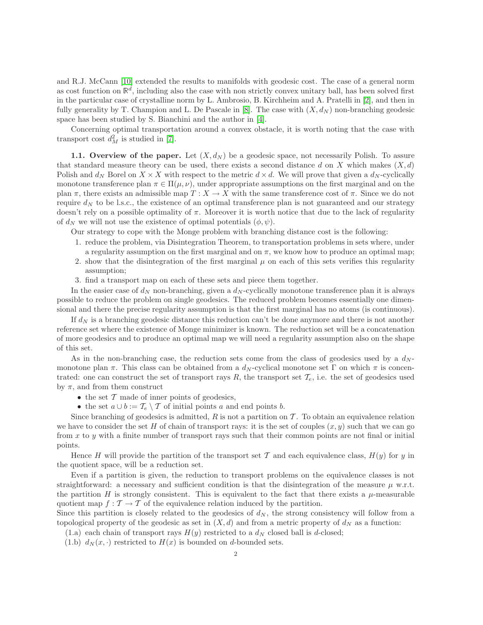and R.J. McCann [\[10\]](#page-26-5) extended the results to manifolds with geodesic cost. The case of a general norm as cost function on  $\mathbb{R}^d$ , including also the case with non strictly convex unitary ball, has been solved first in the particular case of crystalline norm by L. Ambrosio, B. Kirchheim and A. Pratelli in [\[2\]](#page-25-2), and then in fully generality by T. Champion and L. De Pascale in [\[8\]](#page-25-3). The case with  $(X, d_N)$  non-branching geodesic space has been studied by S. Bianchini and the author in [\[4\]](#page-25-4).

Concerning optimal transportation around a convex obstacle, it is worth noting that the case with transport cost  $d_M^2$  is studied in [\[7\]](#page-25-5).

1.1. Overview of the paper. Let  $(X, d_N)$  be a geodesic space, not necessarily Polish. To assure that standard measure theory can be used, there exists a second distance d on X which makes  $(X, d)$ Polish and  $d_N$  Borel on  $X \times X$  with respect to the metric  $d \times d$ . We will prove that given a  $d_N$ -cyclically monotone transference plan  $\pi \in \Pi(\mu, \nu)$ , under appropriate assumptions on the first marginal and on the plan  $\pi$ , there exists an admissible map  $T : X \to X$  with the same transference cost of  $\pi$ . Since we do not require  $d_N$  to be l.s.c., the existence of an optimal transference plan is not guaranteed and our strategy doesn't rely on a possible optimality of  $\pi$ . Moreover it is worth notice that due to the lack of regularity of  $d_N$  we will not use the existence of optimal potentials  $(\phi, \psi)$ .

Our strategy to cope with the Monge problem with branching distance cost is the following:

- 1. reduce the problem, via Disintegration Theorem, to transportation problems in sets where, under a regularity assumption on the first marginal and on  $\pi$ , we know how to produce an optimal map;
- 2. show that the disintegration of the first marginal  $\mu$  on each of this sets verifies this regularity assumption;
- 3. find a transport map on each of these sets and piece them together.

In the easier case of  $d_N$  non-branching, given a  $d_N$ -cyclically monotone transference plan it is always possible to reduce the problem on single geodesics. The reduced problem becomes essentially one dimensional and there the precise regularity assumption is that the first marginal has no atoms (is continuous).

If  $d_N$  is a branching geodesic distance this reduction can't be done anymore and there is not another reference set where the existence of Monge minimizer is known. The reduction set will be a concatenation of more geodesics and to produce an optimal map we will need a regularity assumption also on the shape of this set.

As in the non-branching case, the reduction sets come from the class of geodesics used by a  $d_N$ monotone plan  $\pi$ . This class can be obtained from a  $d_N$ -cyclical monotone set Γ on which π is concentrated: one can construct the set of transport rays  $R$ , the transport set  $\mathcal{T}_e$ , i.e. the set of geodesics used by  $\pi$ , and from them construct

- $\bullet$  the set  $\mathcal T$  made of inner points of geodesics,
- the set  $a \cup b := \mathcal{T}_e \setminus \mathcal{T}$  of initial points a and end points b.

Since branching of geodesics is admitted,  $R$  is not a partition on  $T$ . To obtain an equivalence relation we have to consider the set H of chain of transport rays: it is the set of couples  $(x, y)$  such that we can go from  $x$  to  $y$  with a finite number of transport rays such that their common points are not final or initial points.

Hence H will provide the partition of the transport set T and each equivalence class,  $H(y)$  for y in the quotient space, will be a reduction set.

Even if a partition is given, the reduction to transport problems on the equivalence classes is not straightforward: a necessary and sufficient condition is that the disintegration of the measure  $\mu$  w.r.t. the partition H is strongly consistent. This is equivalent to the fact that there exists a  $\mu$ -measurable quotient map  $f : \mathcal{T} \to \mathcal{T}$  of the equivalence relation induced by the partition.

Since this partition is closely related to the geodesics of  $d_N$ , the strong consistency will follow from a topological property of the geodesic as set in  $(X, d)$  and from a metric property of  $d<sub>N</sub>$  as a function:

- <span id="page-1-1"></span><span id="page-1-0"></span>(1.a) each chain of transport rays  $H(y)$  restricted to a  $d<sub>N</sub>$  closed ball is d-closed;
- (1.b)  $d_N(x, \cdot)$  restricted to  $H(x)$  is bounded on d-bounded sets.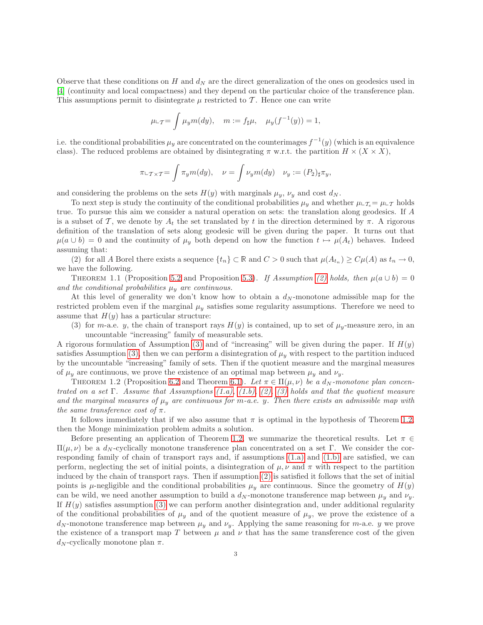Observe that these conditions on H and  $d_N$  are the direct generalization of the ones on geodesics used in [\[4\]](#page-25-4) (continuity and local compactness) and they depend on the particular choice of the transference plan. This assumptions permit to disintegrate  $\mu$  restricted to  $\mathcal T$ . Hence one can write

$$
\mu_{\perp}T = \int \mu_y m(dy), \quad m := f_{\sharp}\mu, \quad \mu_y(f^{-1}(y)) = 1,
$$

i.e. the conditional probabilities  $\mu_y$  are concentrated on the counterimages  $f^{-1}(y)$  (which is an equivalence class). The reduced problems are obtained by disintegrating  $\pi$  w.r.t. the partition  $H \times (X \times X)$ ,

$$
\pi \iota_{\mathcal{T} \times \mathcal{T}} = \int \pi_y m(dy), \quad \nu = \int \nu_y m(dy) \quad \nu_y := (P_2)_{\sharp} \pi_y,
$$

and considering the problems on the sets  $H(y)$  with marginals  $\mu_y$ ,  $\nu_y$  and cost  $d_N$ .

To next step is study the continuity of the conditional probabilities  $\mu_y$  and whether  $\mu \llcorner \tau_e = \mu \llcorner \tau$  holds true. To pursue this aim we consider a natural operation on sets: the translation along geodesics. If A is a subset of T, we denote by  $A_t$  the set translated by t in the direction determined by  $\pi$ . A rigorous definition of the translation of sets along geodesic will be given during the paper. It turns out that  $\mu(a \cup b) = 0$  and the continuity of  $\mu<sub>y</sub>$  both depend on how the function  $t \mapsto \mu(A_t)$  behaves. Indeed assuming that:

<span id="page-2-0"></span>(2) for all A Borel there exists a sequence  $\{t_n\} \subset \mathbb{R}$  and  $C > 0$  such that  $\mu(A_{t_n}) \ge C\mu(A)$  as  $t_n \to 0$ , we have the following.

<span id="page-2-3"></span>THEOREM 1.1 (Proposition [5.2](#page-15-0) and Proposition [5.3](#page-16-0)). If Assumption [\(2\)](#page-2-0) holds, then  $\mu(a \cup b) = 0$ and the conditional probabilities  $\mu_y$  are continuous.

At this level of generality we don't know how to obtain a  $d_N$ -monotone admissible map for the restricted problem even if the marginal  $\mu_y$  satisfies some regularity assumptions. Therefore we need to assume that  $H(y)$  has a particular structure:

<span id="page-2-1"></span>(3) for m-a.e. y, the chain of transport rays  $H(y)$  is contained, up to set of  $\mu_y$ -measure zero, in an uncountable "increasing" family of measurable sets.

A rigorous formulation of Assumption  $(3)$  and of "increasing" will be given during the paper. If  $H(y)$ satisfies Assumption [\(3\),](#page-2-1) then we can perform a disintegration of  $\mu_y$  with respect to the partition induced by the uncountable "increasing" family of sets. Then if the quotient measure and the marginal measures of  $\mu_y$  are continuous, we prove the existence of an optimal map between  $\mu_y$  and  $\nu_y$ .

<span id="page-2-2"></span>THEOREM 1.2 (Proposition [6.2](#page-18-0) and Theorem [6.1](#page-16-1)). Let  $\pi \in \Pi(\mu, \nu)$  be a  $d_N$ -monotone plan concen*trated on a set* Γ*. Assume that Assumptions [\(1.a\),](#page-1-0) [\(1.b\),](#page-1-1) [\(2\),](#page-2-0) [\(3\)](#page-2-1) holds and that the quotient measure* and the marginal measures of  $\mu_y$  are continuous for m-a.e. y. Then there exists an admissible map with *the same transference cost of* π*.*

It follows immediately that if we also assume that  $\pi$  is optimal in the hypothesis of Theorem [1.2,](#page-2-2) then the Monge minimization problem admits a solution.

Before presenting an application of Theorem [1.2,](#page-2-2) we summarize the theoretical results. Let  $\pi \in$ Π( $\mu, \nu$ ) be a d<sub>N</sub>-cyclically monotone transference plan concentrated on a set Γ. We consider the corresponding family of chain of transport rays and, if assumptions [\(1.a\)](#page-1-0) and [\(1.b\)](#page-1-1) are satisfied, we can perform, neglecting the set of initial points, a disintegration of  $\mu, \nu$  and  $\pi$  with respect to the partition induced by the chain of transport rays. Then if assumption [\(2\)](#page-2-0) is satisfied it follows that the set of initial points is  $\mu$ -negligible and the conditional probabilities  $\mu_y$  are continuous. Since the geometry of  $H(y)$ can be wild, we need another assumption to build a  $d_N$ -monotone transference map between  $\mu_y$  and  $\nu_y$ . If  $H(y)$  satisfies assumption [\(3\)](#page-2-1) we can perform another disintegration and, under additional regularity of the conditional probabilities of  $\mu_y$  and of the quotient measure of  $\mu_y$ , we prove the existence of a  $d_N$ -monotone transference map between  $\mu_y$  and  $\nu_y$ . Applying the same reasoning for m-a.e. y we prove the existence of a transport map T between  $\mu$  and  $\nu$  that has the same transference cost of the given  $d_N$ -cyclically monotone plan  $\pi$ .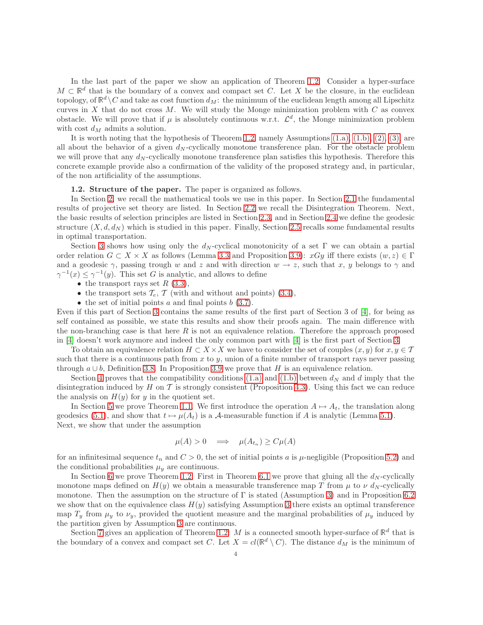In the last part of the paper we show an application of Theorem [1.2.](#page-2-2) Consider a hyper-surface  $M \subset \mathbb{R}^d$  that is the boundary of a convex and compact set C. Let X be the closure, in the euclidean topology, of  $\mathbb{R}^d \setminus C$  and take as cost function  $d_M$ : the minimum of the euclidean length among all Lipschitz curves in X that do not cross  $M$ . We will study the Monge minimization problem with  $C$  as convex obstacle. We will prove that if  $\mu$  is absolutely continuous w.r.t.  $\mathcal{L}^d$ , the Monge minimization problem with cost  $d_M$  admits a solution.

It is worth noting that the hypothesis of Theorem [1.2,](#page-2-2) namely Assumptions [\(1.a\),](#page-1-0) [\(1.b\),](#page-1-1) [\(2\),](#page-2-0) [\(3\),](#page-2-1) are all about the behavior of a given  $d_N$ -cyclically monotone transference plan. For the obstacle problem we will prove that any  $d_N$ -cyclically monotone transference plan satisfies this hypothesis. Therefore this concrete example provide also a confirmation of the validity of the proposed strategy and, in particular, of the non artificiality of the assumptions.

### 1.2. Structure of the paper. The paper is organized as follows.

In Section [2,](#page-4-0) we recall the mathematical tools we use in this paper. In Section [2.1](#page-4-1) the fundamental results of projective set theory are listed. In Section [2.2](#page-4-2) we recall the Disintegration Theorem. Next, the basic results of selection principles are listed in Section [2.3,](#page-5-0) and in Section [2.4](#page-6-0) we define the geodesic structure  $(X, d, d_N)$  which is studied in this paper. Finally, Section [2.5](#page-7-0) recalls some fundamental results in optimal transportation.

Section [3](#page-9-0) shows how using only the  $d_N$ -cyclical monotonicity of a set Γ we can obtain a partial order relation  $G \subset X \times X$  as follows (Lemma [3.3](#page-10-0) and Proposition [3.9\)](#page-12-0):  $xGy$  iff there exists  $(w, z) \in \Gamma$ and a geodesic  $\gamma$ , passing trough w and z and with direction  $w \to z$ , such that x, y belongs to  $\gamma$  and  $\gamma^{-1}(x) \leq \gamma^{-1}(y)$ . This set G is analytic, and allows to define

- the transport rays set  $R$  [\(3.3\)](#page-10-1),
- the transport sets  $\mathcal{T}_e$ ,  $\mathcal{T}$  (with and without and points) [\(3.4\)](#page-10-2),
- the set of initial points  $a$  and final points  $b(3.7)$  $b(3.7)$ .

Even if this part of Section [3](#page-9-0) contains the same results of the first part of Section 3 of [\[4\]](#page-25-4), for being as self contained as possible, we state this results and show their proofs again. The main difference with the non-branching case is that here R is not an equivalence relation. Therefore the approach proposed in [\[4\]](#page-25-4) doesn't work anymore and indeed the only common part with [\[4\]](#page-25-4) is the first part of Section [3.](#page-9-0)

To obtain an equivalence relation  $H \subset X \times X$  we have to consider the set of couples  $(x, y)$  for  $x, y \in T$ such that there is a continuous path from  $x$  to  $y$ , union of a finite number of transport rays never passing through  $a \cup b$ , Definition [3.8.](#page-11-1) In Proposition [3.9](#page-12-0) we prove that H is an equivalence relation.

Section [4](#page-12-1) proves that the compatibility conditions [\(1.a\)](#page-1-0) and [\(1.b\)](#page-1-1) between  $d_N$  and d imply that the disintegration induced by H on T is strongly consistent (Proposition [4.3\)](#page-13-0). Using this fact we can reduce the analysis on  $H(y)$  for y in the quotient set.

In Section [5](#page-14-0) we prove Theorem [1.1.](#page-2-3) We first introduce the operation  $A \mapsto A_t$ , the translation along geodesics [\(5.1\)](#page-14-1), and show that  $t \mapsto \mu(A_t)$  is a A-measurable function if A is analytic (Lemma [5.1\)](#page-14-2). Next, we show that under the assumption

$$
\mu(A) > 0 \quad \Longrightarrow \quad \mu(A_{t_n}) \ge C\mu(A)
$$

for an infinitesimal sequence  $t_n$  and  $C > 0$ , the set of initial points a is  $\mu$ -negligible (Proposition [5.2\)](#page-15-0) and the conditional probabilities  $\mu_y$  are continuous.

In Section [6](#page-16-2) we prove Theorem [1.2.](#page-2-2) First in Theorem [6.1](#page-16-1) we prove that gluing all the  $d_N$ -cyclically monotone maps defined on  $H(y)$  we obtain a measurable transference map T from  $\mu$  to  $\nu$  d<sub>N</sub>-cyclically monotone. Then the assumption on the structure of  $\Gamma$  is stated (Assumption [3\)](#page-17-0) and in Proposition [6.2](#page-18-0) we show that on the equivalence class  $H(y)$  satisfying Assumption [3](#page-17-0) there exists an optimal transference map  $T_y$  from  $\mu_y$  to  $\nu_y$ , provided the quotient measure and the marginal probabilities of  $\mu_y$  induced by the partition given by Assumption [3](#page-17-0) are continuous.

Section [7](#page-19-0) gives an application of Theorem [1.2:](#page-2-2) M is a connected smooth hyper-surface of  $\mathbb{R}^d$  that is the boundary of a convex and compact set C. Let  $X = cl(\mathbb{R}^d \setminus C)$ . The distance  $d_M$  is the minimum of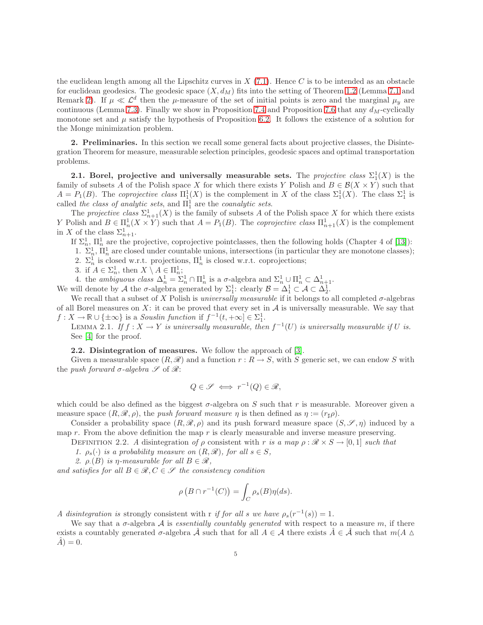the euclidean length among all the Lipschitz curves in  $X(7.1)$  $X(7.1)$ . Hence C is to be intended as an obstacle for euclidean geodesics. The geodesic space  $(X, d_M)$  fits into the setting of Theorem [1.2](#page-2-2) (Lemma [7.1](#page-20-0) and Remark [2\)](#page-21-0). If  $\mu \ll \mathcal{L}^d$  then the  $\mu$ -measure of the set of initial points is zero and the marginal  $\mu_y$  are continuous (Lemma [7.3\)](#page-21-1). Finally we show in Proposition [7.4](#page-22-0) and Proposition [7.6](#page-24-0) that any  $d_M$ -cyclically monotone set and  $\mu$  satisfy the hypothesis of Proposition [6.2.](#page-18-0) It follows the existence of a solution for the Monge minimization problem.

<span id="page-4-0"></span>2. Preliminaries. In this section we recall some general facts about projective classes, the Disintegration Theorem for measure, measurable selection principles, geodesic spaces and optimal transportation problems.

<span id="page-4-1"></span>**2.1.** Borel, projective and universally measurable sets. The *projective class*  $\Sigma_1^1(X)$  is the family of subsets A of the Polish space X for which there exists Y Polish and  $B \in \mathcal{B}(X \times Y)$  such that  $A = P_1(B)$ . The *coprojective class*  $\Pi_1^1(X)$  is the complement in X of the class  $\Sigma_1^1(X)$ . The class  $\Sigma_1^1$  is called *the class of analytic sets*, and  $\Pi_1^1$  are the *coanalytic sets*.

The *projective class*  $\Sigma_{n+1}^1(X)$  is the family of subsets A of the Polish space X for which there exists Y Polish and  $B \in \Pi_n^1(X \times Y)$  such that  $A = P_1(B)$ . The *coprojective class*  $\Pi_{n+1}^1(X)$  is the complement in X of the class  $\Sigma_{n+1}^1$ .

If  $\Sigma_n^1$ ,  $\Pi_n^1$  are the projective, coprojective pointclasses, then the following holds (Chapter 4 of [\[13\]](#page-26-6)):

1.  $\Sigma_n^1$ ,  $\Pi_n^1$  are closed under countable unions, intersections (in particular they are monotone classes);

2.  $\Sigma_n^1$  is closed w.r.t. projections,  $\Pi_n^1$  is closed w.r.t. coprojections;

3. if  $A \in \Sigma_n^1$ , then  $X \setminus A \in \Pi_n^1$ ;

4. the *ambiguous class*  $\Delta_n^1 = \Sigma_n^1 \cap \Pi_n^1$  is a  $\sigma$ -algebra and  $\Sigma_n^1 \cup \Pi_n^1 \subset \Delta_{n+1}^1$ .

We will denote by A the  $\sigma$ -algebra generated by  $\Sigma_1^1$ : clearly  $\mathcal{B} = \Delta_1^1 \subset \mathcal{A} \subset \Delta_2^1$ .

We recall that a subset of X Polish is *universally measurable* if it belongs to all completed  $\sigma$ -algebras of all Borel measures on  $X$ : it can be proved that every set in  $A$  is universally measurable. We say that  $f: X \to \mathbb{R} \cup \{\pm \infty\}$  is a *Souslin function* if  $f^{-1}(t, +\infty) \in \Sigma_1^1$ .

LEMMA 2.1. If  $f: X \to Y$  is universally measurable, then  $f^{-1}(U)$  is universally measurable if U is. See [\[4\]](#page-25-4) for the proof.

<span id="page-4-2"></span>2.2. Disintegration of measures. We follow the approach of [\[3\]](#page-25-6).

Given a measurable space  $(R, \mathscr{R})$  and a function  $r : R \to S$ , with S generic set, we can endow S with the *push forward*  $\sigma$ -*algebra*  $\mathscr S$  of  $\mathscr R$ :

$$
Q \in \mathscr{S} \iff r^{-1}(Q) \in \mathscr{R},
$$

which could be also defined as the biggest  $\sigma$ -algebra on S such that r is measurable. Moreover given a measure space  $(R, \mathcal{R}, \rho)$ , the *push forward measure*  $\eta$  is then defined as  $\eta := (r_{\sharp} \rho)$ .

Consider a probability space  $(R, \mathcal{R}, \rho)$  and its push forward measure space  $(S, \mathcal{S}, \eta)$  induced by a map r. From the above definition the map r is clearly measurable and inverse measure preserving.

DEFINITION 2.2. A disintegration of  $\rho$  consistent with r is a map  $\rho : \mathcal{R} \times S \to [0,1]$  such that

*1.*  $\rho_s(\cdot)$  *is a probability measure on*  $(R, \mathcal{R})$ *, for all*  $s \in S$ *,* 

*2.*  $\rho(G)$  *is*  $\eta$ -measurable for all  $B \in \mathcal{R}$ ,

*and satisfies for all*  $B \in \mathcal{R}, C \in \mathcal{S}$  *the consistency condition* 

$$
\rho\left(B \cap r^{-1}(C)\right) = \int_C \rho_s(B)\eta(ds).
$$

*A* disintegration is strongly consistent with r if for all s we have  $\rho_s(r^{-1}(s)) = 1$ .

We say that a  $\sigma$ -algebra A is *essentially countably generated* with respect to a measure m, if there exists a countably generated  $\sigma$ -algebra  $\hat{\mathcal{A}}$  such that for all  $A \in \mathcal{A}$  there exists  $\hat{A} \in \hat{\mathcal{A}}$  such that  $m(A \triangle$  $\hat{A}$ ) = 0.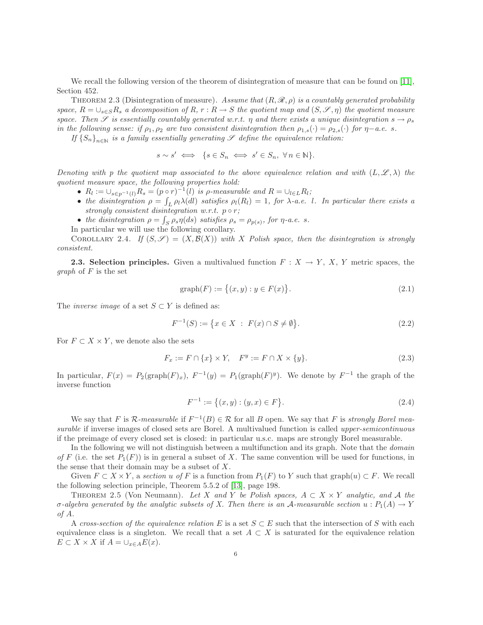<span id="page-5-1"></span>We recall the following version of the theorem of disintegration of measure that can be found on [\[11\]](#page-26-7), Section 452.

THEOREM 2.3 (Disintegration of measure). Assume that  $(R, \mathcal{R}, \rho)$  is a countably generated probability *space,*  $R = \bigcup_{s \in S} R_s$  *a decomposition of*  $R, r : R \to S$  *the quotient map and*  $(S, \mathscr{S}, \eta)$  *the quotient measure space. Then* S *is essentially countably generated w.r.t.*  $\eta$  *and there exists a unique disintegration*  $s \to \rho_s$ *in the following sense: if*  $\rho_1, \rho_2$  *are two consistent disintegration then*  $\rho_{1,s}(\cdot) = \rho_{2,s}(\cdot)$  *for*  $\eta - a.e.$  *s.* 

*If*  ${S_n}_{n\in\mathbb{N}}$  *is a family essentially generating*  $\mathscr{S}$  *define the equivalence relation:* 

$$
s \sim s' \iff \{ s \in S_n \iff s' \in S_n, \ \forall \, n \in \mathbb{N} \}.
$$

*Denoting with p the quotient map associated to the above equivalence relation and with*  $(L, \mathscr{L}, \lambda)$  *the quotient measure space, the following properties hold:*

- $R_l := \bigcup_{s \in p^{-1}(l)} R_s = (p \circ r)^{-1}(l)$  *is p-measurable and*  $R = \bigcup_{l \in L} R_l$ ;
- the disintegration  $\rho = \int_L \rho_l \lambda dl$  satisfies  $\rho_l(R_l) = 1$ , for  $\lambda$ -a.e. l. In particular there exists a *strongly consistent disintegration w.r.t. p* ◦ *r*;
- the disintegration  $\rho = \int_S \rho_s \eta(ds)$  satisfies  $\rho_s = \rho_{p(s)}$ , for  $\eta$ -a.e. s.
- In particular we will use the following corollary.

COROLLARY 2.4. *If*  $(S, \mathscr{S}) = (X, \mathcal{B}(X))$  *with* X Polish space, then the disintegration is strongly *consistent.*

<span id="page-5-0"></span>**2.3. Selection principles.** Given a multivalued function  $F : X \to Y$ , X, Y metric spaces, the *graph* of F is the set

<span id="page-5-5"></span><span id="page-5-4"></span>
$$
graph(F) := \{(x, y) : y \in F(x)\}.
$$
\n(2.1)

The *inverse image* of a set  $S \subset Y$  is defined as:

<span id="page-5-3"></span>
$$
F^{-1}(S) := \{ x \in X : F(x) \cap S \neq \emptyset \}.
$$
\n(2.2)

For  $F \subset X \times Y$ , we denote also the sets

$$
F_x := F \cap \{x\} \times Y, \quad F^y := F \cap X \times \{y\}.
$$
\n
$$
(2.3)
$$

In particular,  $F(x) = P_2(\text{graph}(F)_x)$ ,  $F^{-1}(y) = P_1(\text{graph}(F)^y)$ . We denote by  $F^{-1}$  the graph of the inverse function

$$
F^{-1} := \{(x, y) : (y, x) \in F\}.
$$
\n(2.4)

We say that F is  $\mathcal{R}\text{-}measurable$  if  $F^{-1}(B) \in \mathcal{R}$  for all B open. We say that F is *strongly Borel measurable* if inverse images of closed sets are Borel. A multivalued function is called *upper-semicontinuous* if the preimage of every closed set is closed: in particular u.s.c. maps are strongly Borel measurable.

In the following we will not distinguish between a multifunction and its graph. Note that the *domain of* F (i.e. the set  $P_1(F)$ ) is in general a subset of X. The same convention will be used for functions, in the sense that their domain may be a subset of  $X$ .

Given  $F \subset X \times Y$ , a *section* u of F is a function from  $P_1(F)$  to Y such that graph $(u) \subset F$ . We recall the following selection principle, Theorem 5.5.2 of [\[13\]](#page-26-6), page 198.

<span id="page-5-2"></span>THEOREM 2.5 (Von Neumann). Let X and Y be Polish spaces,  $A \subset X \times Y$  analytic, and A the  $\sigma$ -algebra generated by the analytic subsets of X. Then there is an A-measurable section  $u : P_1(A) \to Y$ *of* A*.*

A *cross-section of the equivalence relation* E is a set  $S \subset E$  such that the intersection of S with each equivalence class is a singleton. We recall that a set  $A \subset X$  is saturated for the equivalence relation  $E \subset X \times X$  if  $A = \bigcup_{x \in A} E(x)$ .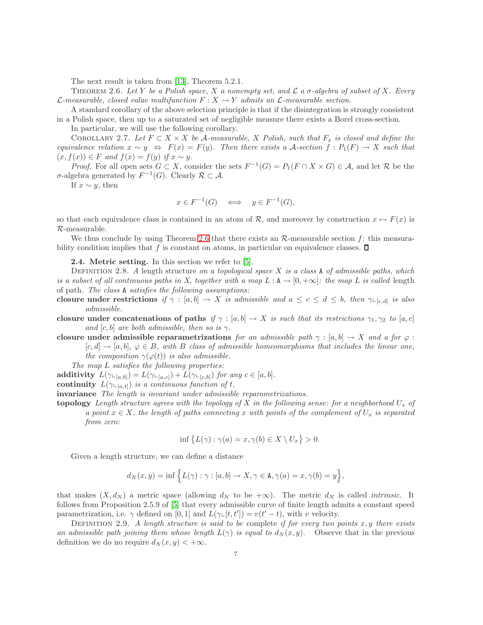The next result is taken from [\[13\]](#page-26-6), Theorem 5.2.1.

<span id="page-6-1"></span>Theorem 2.6. *Let* Y *be a Polish space,* X *a nonempty set, and* L *a* σ*-algebra of subset of* X*. Every*  $\mathcal{L}\text{-}measurable, closed value multiplication F : X \to Y \text{ admits an } \mathcal{L}\text{-}measurable section.$ 

A standard corollary of the above selection principle is that if the disintegration is strongly consistent in a Polish space, then up to a saturated set of negligible measure there exists a Borel cross-section.

In particular, we will use the following corollary.

<span id="page-6-2"></span>COROLLARY 2.7. Let  $F \subset X \times X$  be A-measurable, X Polish, such that  $F_x$  is closed and define the *equivalence relation*  $x \sim y \Leftrightarrow F(x) = F(y)$ *. Then there exists a A-section*  $f: P_1(F) \to X$  *such that*  $(x, f(x)) \in F$  *and*  $f(x) = f(y)$  *if*  $x \sim y$ *.* 

*Proof.* For all open sets  $G \subset X$ , consider the sets  $F^{-1}(G) = P_1(F \cap X \times G) \in \mathcal{A}$ , and let R be the  $σ$ -algebra generated by  $F^{-1}(G)$ . Clearly  $R \subset A$ .

If  $x \sim y$ , then

$$
x \in F^{-1}(G) \quad \Longleftrightarrow \quad y \in F^{-1}(G),
$$

so that each equivalence class is contained in an atom of R, and moreover by construction  $x \mapsto F(x)$  is R-measurable.

<span id="page-6-0"></span>We thus conclude by using Theorem [2.6](#page-6-1) that there exists an  $\mathcal{R}$ -measurable section f: this measurability condition implies that f is constant on atoms, in particular on equivalence classes.  $\Box$ 

2.4. Metric setting. In this section we refer to [\[5\]](#page-25-7).

<span id="page-6-3"></span>Definition 2.8. *A* length structure *on a topological space* X *is a class* A *of admissible paths, which is a subset of all continuous paths in X, together with a map*  $L : A \rightarrow [0, +\infty]$ *: the map* L *is called* length of path*. The class* A *satisfies the following assumptions:*

- closure under restrictions if  $\gamma : [a, b] \to X$  *is admissible and*  $a \leq c \leq d \leq b$ , then  $\gamma \vdash_{[c,d]}$  *is also admissible.*
- closure under concatenations of paths *if*  $\gamma : [a, b] \to X$  *is such that its restrictions*  $\gamma_1, \gamma_2$  *to*  $[a, c]$ *and* [c, b] *are both admissible, then so is*  $\gamma$ *.*

closure under admissible reparametrizations *for an admissible path*  $\gamma : [a, b] \to X$  *and a for*  $\varphi$ :  $[c, d] \rightarrow [a, b], \varphi \in B$ , with B class of admissible homeomorphisms that includes the linear one, *the composition*  $\gamma(\varphi(t))$  *is also admissible.* 

*The map* L *satisfies the following properties:*

additivity  $L(\gamma_{\sqsubset [a,b]}) = L(\gamma_{\sqsubset [a,c]}) + L(\gamma_{\sqsubset [c,b]})$  *for any*  $c \in [a,b]$ *.* 

continuity  $L(\gamma_{\sqsubset [a,t]})$  *is a continuous function of t.* 

invariance *The length is invariant under admissible reparametrizations.*

topology *Length structure agrees with the topology of* X *in the following sense: for a neighborhood*  $U_x$  *of a point*  $x \in X$ *, the length of paths connecting* x *with points of the complement of*  $U_x$  *is separated from zero:*

$$
\inf \{ L(\gamma) : \gamma(a) = x, \gamma(b) \in X \setminus U_x \} > 0.
$$

Given a length structure, we can define a distance

$$
d_N(x, y) = \inf \Big\{ L(\gamma) : \gamma : [a, b] \to X, \gamma \in \mathbf{A}, \gamma(a) = x, \gamma(b) = y \Big\},\
$$

that makes  $(X, d_N)$  a metric space (allowing  $d_N$  to be  $+\infty$ ). The metric  $d_N$  is called *intrinsic*. It follows from Proposition 2.5.9 of [\[5\]](#page-25-7) that every admissible curve of finite length admits a constant speed parametrization, i.e.  $\gamma$  defined on [0, 1] and  $\hat{L}(\gamma \in [t, t']) = v(t'-t)$ , with v velocity.

Definition 2.9. *A length structure is said to be* complete *if for every two points* x, y *there exists an admissible path joining them whose length*  $L(\gamma)$  *is equal to*  $d_N(x, y)$ . Observe that in the previous definition we do no require  $d_N(x, y) < +\infty$ .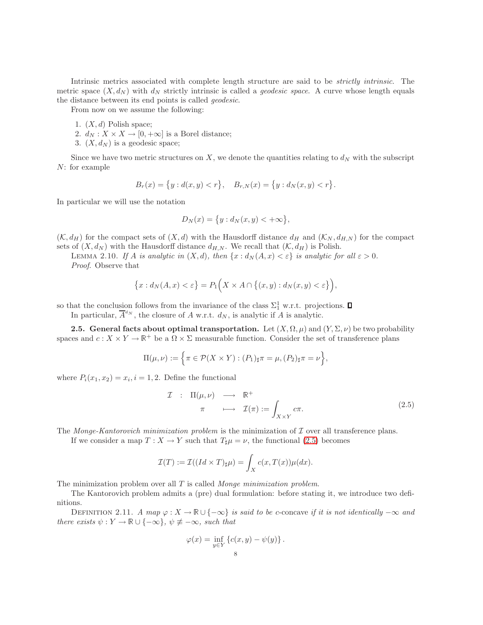Intrinsic metrics associated with complete length structure are said to be *strictly intrinsic*. The metric space  $(X, d_N)$  with  $d_N$  strictly intrinsic is called a *geodesic space*. A curve whose length equals the distance between its end points is called *geodesic*.

From now on we assume the following:

- 1.  $(X, d)$  Polish space;
- 2.  $d_N: X \times X \to [0, +\infty]$  is a Borel distance;
- 3.  $(X, d_N)$  is a geodesic space;

Since we have two metric structures on X, we denote the quantities relating to  $d_N$  with the subscript N: for example

$$
B_r(x) = \{y : d(x, y) < r\}, \quad B_{r,N}(x) = \{y : d_N(x, y) < r\}.
$$

In particular we will use the notation

$$
D_N(x) = \{y : d_N(x, y) < +\infty\},\
$$

 $(K, d_H)$  for the compact sets of  $(X, d)$  with the Hausdorff distance  $d_H$  and  $(K_N, d_{H,N})$  for the compact sets of  $(X, d_N)$  with the Hausdorff distance  $d_{H,N}$ . We recall that  $(\mathcal{K}, d_H)$  is Polish.

LEMMA 2.10. If A is analytic in  $(X, d)$ , then  $\{x : d_N(A, x) < \varepsilon\}$  is analytic for all  $\varepsilon > 0$ .

*Proof*. Observe that

$$
\{x: d_N(A, x) < \varepsilon\} = P_1\Big(X \times A \cap \big\{(x, y) : d_N(x, y) < \varepsilon\big\}\Big),
$$

so that the conclusion follows from the invariance of the class  $\Sigma_1^1$  w.r.t. projections.

In particular,  $\overline{A}^{d_N}$ , the closure of A w.r.t.  $d_N$ , is analytic if A is analytic.

<span id="page-7-0"></span>2.5. General facts about optimal transportation. Let  $(X, \Omega, \mu)$  and  $(Y, \Sigma, \nu)$  be two probability spaces and  $c: X \times Y \to \mathbb{R}^+$  be a  $\Omega \times \Sigma$  measurable function. Consider the set of transference plans

$$
\Pi(\mu,\nu) := \left\{ \pi \in \mathcal{P}(X \times Y) : (P_1)_{\sharp}\pi = \mu, (P_2)_{\sharp}\pi = \nu \right\},\
$$

where  $P_i(x_1, x_2) = x_i, i = 1, 2$ . Define the functional

<span id="page-7-1"></span>
$$
\mathcal{I} : \Pi(\mu, \nu) \longrightarrow \mathbb{R}^+ \n\pi \longrightarrow \mathcal{I}(\pi) := \int_{X \times Y} c\pi.
$$
\n(2.5)

The *Monge-Kantorovich minimization problem* is the minimization of I over all transference plans.

If we consider a map  $T : X \to Y$  such that  $T_{\sharp}\mu = \nu$ , the functional [\(2.5\)](#page-7-1) becomes

$$
\mathcal{I}(T) := \mathcal{I}((Id \times T)_\sharp \mu) = \int_X c(x, T(x)) \mu(dx).
$$

The minimization problem over all T is called *Monge minimization problem*.

The Kantorovich problem admits a (pre) dual formulation: before stating it, we introduce two definitions.

DEFINITION 2.11. *A map*  $\varphi: X \to \mathbb{R} \cup \{-\infty\}$  *is said to be c*-concave *if it is not identically*  $-\infty$  *and there exists*  $\psi: Y \to \mathbb{R} \cup \{-\infty\}, \psi \not\equiv -\infty$ *, such that* 

$$
\varphi(x) = \inf_{y \in Y} \left\{ c(x, y) - \psi(y) \right\}.
$$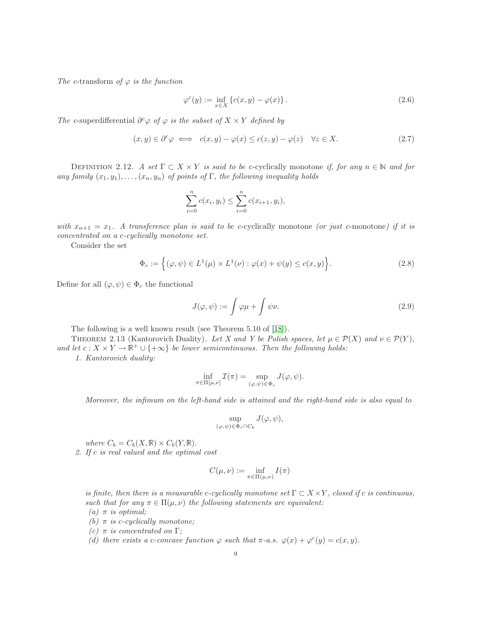*The* c-transform of  $\varphi$  *is the function* 

<span id="page-8-1"></span><span id="page-8-0"></span>
$$
\varphi^{c}(y) := \inf_{x \in X} \left\{ c(x, y) - \varphi(x) \right\}. \tag{2.6}
$$

*The* c-superdifferential  $\partial^c \varphi$  *of*  $\varphi$  *is the subset of*  $X \times Y$  *defined by* 

$$
(x, y) \in \partial^c \varphi \iff c(x, y) - \varphi(x) \le c(z, y) - \varphi(z) \quad \forall z \in X. \tag{2.7}
$$

DEFINITION 2.12. *A set*  $\Gamma \subset X \times Y$  *is said to be* c-cyclically monotone *if, for any*  $n \in \mathbb{N}$  *and for any family*  $(x_1, y_1), \ldots, (x_n, y_n)$  *of points of* Γ, the following inequality holds

$$
\sum_{i=0}^{n} c(x_i, y_i) \le \sum_{i=0}^{n} c(x_{i+1}, y_i),
$$

*with*  $x_{n+1} = x_1$ . A transference plan is said to be c-cyclically monotone *(or just* c-monotone*)* if it is *concentrated on a* c*-cyclically monotone set.*

Consider the set

<span id="page-8-2"></span>
$$
\Phi_c := \left\{ (\varphi, \psi) \in L^1(\mu) \times L^1(\nu) : \varphi(x) + \psi(y) \le c(x, y) \right\}.
$$
\n(2.8)

Define for all  $(\varphi, \psi) \in \Phi_c$  the functional

<span id="page-8-3"></span>
$$
J(\varphi, \psi) := \int \varphi \mu + \int \psi \nu. \tag{2.9}
$$

The following is a well known result (see Theorem 5.10 of [\[18\]](#page-26-1)).

THEOREM 2.13 (Kantorovich Duality). Let X and Y be Polish spaces, let  $\mu \in \mathcal{P}(X)$  and  $\nu \in \mathcal{P}(Y)$ , *and let*  $c: X \times Y \to \mathbb{R}^+ \cup \{+\infty\}$  *be lower semicontinuous. Then the following holds:* 

*1. Kantorovich duality:*

$$
\inf_{\pi \in \Pi[\mu,\nu]} \mathcal{I}(\pi) = \sup_{(\varphi,\psi) \in \Phi_c} J(\varphi,\psi).
$$

*Moreover, the infimum on the left-hand side is attained and the right-hand side is also equal to*

$$
\sup_{(\varphi,\psi)\in\Phi_c\cap C_b} J(\varphi,\psi),
$$

*where*  $C_b = C_b(X, \mathbb{R}) \times C_b(Y, \mathbb{R})$ *.* 

*2. If* c *is real valued and the optimal cost*

$$
C(\mu,\nu):=\inf_{\pi\in\Pi(\mu,\nu)}I(\pi)
$$

*is finite, then there is a measurable c-cyclically monotone set*  $\Gamma \subset X \times Y$ *, closed if c is continuous, such that for any*  $\pi \in \Pi(\mu, \nu)$  *the following statements are equivalent:* 

 $(a)$   $\pi$  *is optimal*;

- $(b)$   $\pi$  *is c-cyclically monotone;*
- *(c)* π *is concentrated on* Γ*;*
- (d) there exists a c-concave function  $\varphi$  such that  $\pi$ -a.s.  $\varphi(x) + \varphi^c(y) = c(x, y)$ .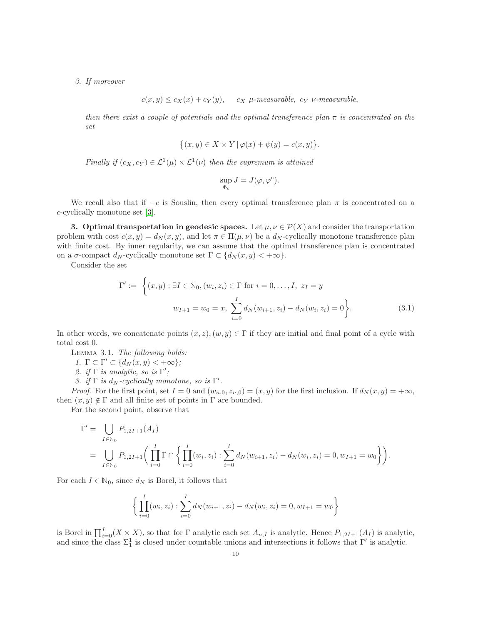*3. If moreover*

 $c(x, y) \leq c_X(x) + c_Y(y)$ ,  $c_X \mu$ -measurable,  $c_Y \nu$ -measurable,

*then there exist a couple of potentials and the optimal transference plan* π *is concentrated on the set*

$$
\{(x,y)\in X\times Y \,|\,\varphi(x)+\psi(y)=c(x,y)\}.
$$

*Finally if*  $(c_X, c_Y) \in \mathcal{L}^1(\mu) \times \mathcal{L}^1(\nu)$  *then the supremum is attained* 

$$
\sup_{\Phi_c} J = J(\varphi, \varphi^c).
$$

We recall also that if  $-c$  is Souslin, then every optimal transference plan  $\pi$  is concentrated on a c-cyclically monotone set [\[3\]](#page-25-6).

<span id="page-9-0"></span>3. Optimal transportation in geodesic spaces. Let  $\mu, \nu \in \mathcal{P}(X)$  and consider the transportation problem with cost  $c(x, y) = d_N(x, y)$ , and let  $\pi \in \Pi(\mu, \nu)$  be a  $d_N$ -cyclically monotone transference plan with finite cost. By inner regularity, we can assume that the optimal transference plan is concentrated on a  $\sigma$ -compact  $d_N$ -cyclically monotone set  $\Gamma \subset \{d_N(x,y) < +\infty\}.$ 

Consider the set

$$
\Gamma' := \left\{ (x, y) : \exists I \in \mathbb{N}_0, (w_i, z_i) \in \Gamma \text{ for } i = 0, \dots, I, z_I = y \right\}
$$

$$
w_{I+1} = w_0 = x, \sum_{i=0}^I d_N(w_{i+1}, z_i) - d_N(w_i, z_i) = 0 \right\}.
$$
(3.1)

<span id="page-9-1"></span>In other words, we concatenate points  $(x, z)$ ,  $(w, y) \in \Gamma$  if they are initial and final point of a cycle with total cost 0.

Lemma 3.1. *The following holds:*

*1.*  $\Gamma \subset \Gamma' \subset \{d_N(x, y) < +\infty\}$ ;

2. *if*  $\Gamma$  *is analytic, so is*  $\Gamma'$ ;

*3. if*  $\Gamma$  *is*  $d_N$ *-cyclically monotone, so is*  $\Gamma'$ *.* 

*Proof.* For the first point, set  $I = 0$  and  $(w_{n,0}, z_{n,0}) = (x, y)$  for the first inclusion. If  $d_N(x, y) = +\infty$ , then  $(x, y) \notin \Gamma$  and all finite set of points in  $\Gamma$  are bounded.

For the second point, observe that

$$
\Gamma' = \bigcup_{I \in \mathbb{N}_0} P_{1,2I+1}(A_I)
$$
  
= 
$$
\bigcup_{I \in \mathbb{N}_0} P_{1,2I+1} \bigg( \prod_{i=0}^I \Gamma \cap \bigg\{ \prod_{i=0}^I (w_i, z_i) : \sum_{i=0}^I d_N(w_{i+1}, z_i) - d_N(w_i, z_i) = 0, w_{I+1} = w_0 \bigg\} \bigg).
$$

For each  $I \in \mathbb{N}_0$ , since  $d_N$  is Borel, it follows that

$$
\left\{\prod_{i=0}^{I}(w_i, z_i): \sum_{i=0}^{I} d_N(w_{i+1}, z_i) - d_N(w_i, z_i) = 0, w_{I+1} = w_0\right\}
$$

is Borel in  $\prod_{i=0}^{I}(X \times X)$ , so that for  $\Gamma$  analytic each set  $A_{n,I}$  is analytic. Hence  $P_{1,2I+1}(A_I)$  is analytic, and since the class  $\Sigma_1^1$  is closed under countable unions and intersections it follows that  $\Gamma'$  is analytic.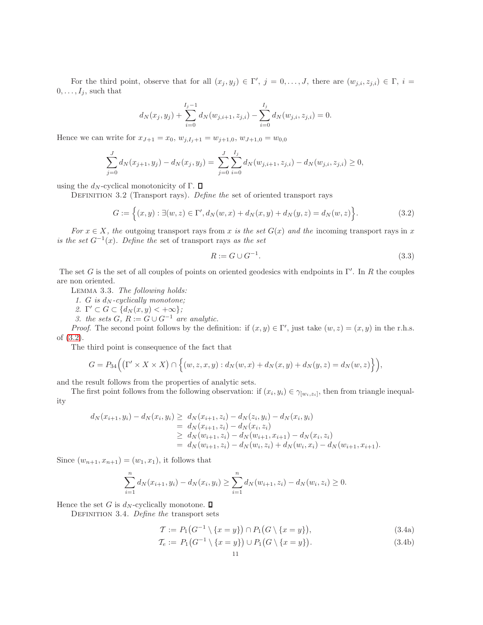For the third point, observe that for all  $(x_j, y_j) \in \Gamma'$ ,  $j = 0, \ldots, J$ , there are  $(w_{j,i}, z_{j,i}) \in \Gamma$ ,  $i =$  $0, \ldots, I_j$ , such that

$$
d_N(x_j, y_j) + \sum_{i=0}^{I_j-1} d_N(w_{j,i+1}, z_{j,i}) - \sum_{i=0}^{I_j} d_N(w_{j,i}, z_{j,i}) = 0.
$$

Hence we can write for  $x_{J+1} = x_0$ ,  $w_{j,I_j+1} = w_{j+1,0}$ ,  $w_{J+1,0} = w_{0,0}$ 

$$
\sum_{j=0}^{J} d_N(x_{j+1}, y_j) - d_N(x_j, y_j) = \sum_{j=0}^{J} \sum_{i=0}^{I_j} d_N(w_{j,i+1}, z_{j,i}) - d_N(w_{j,i}, z_{j,i}) \ge 0,
$$

<span id="page-10-4"></span>using the  $d_N$ -cyclical monotonicity of Γ.  $\Box$ 

DEFINITION 3.2 (Transport rays). *Define the* set of oriented transport rays

$$
G := \left\{ (x, y) : \exists (w, z) \in \Gamma', d_N(w, x) + d_N(x, y) + d_N(y, z) = d_N(w, z) \right\}.
$$
 (3.2)

*For*  $x \in X$ *, the* outgoing transport rays from x *is the set*  $G(x)$  *and the* incoming transport rays in x *is the set*  $G^{-1}(x)$ *. Define the* set of transport rays *as the set* 

<span id="page-10-3"></span><span id="page-10-1"></span>
$$
R := G \cup G^{-1}.\tag{3.3}
$$

<span id="page-10-0"></span>The set G is the set of all couples of points on oriented geodesics with endpoints in  $\Gamma'$ . In R the couples are non oriented.

Lemma 3.3. *The following holds:*

*1. G is*  $d_N$ -cyclically monotone;

2.  $\Gamma' \subset G \subset \{d_N(x,y) < +\infty\};$ 

*3. the sets*  $G, R := G \cup G^{-1}$  *are analytic.* 

*Proof.* The second point follows by the definition: if  $(x, y) \in \Gamma'$ , just take  $(w, z) = (x, y)$  in the r.h.s. of [\(3.2\)](#page-10-3).

The third point is consequence of the fact that

$$
G = P_{34}\Big(\big(\Gamma' \times X \times X\big) \cap \Big\{(w,z,x,y): d_N(w,x) + d_N(x,y) + d_N(y,z) = d_N(w,z)\Big\}\Big),
$$

and the result follows from the properties of analytic sets.

The first point follows from the following observation: if  $(x_i, y_i) \in \gamma_{[w_i, z_i]}$ , then from triangle inequality

$$
d_N(x_{i+1}, y_i) - d_N(x_i, y_i) \ge d_N(x_{i+1}, z_i) - d_N(z_i, y_i) - d_N(x_i, y_i)
$$
  
=  $d_N(x_{i+1}, z_i) - d_N(x_i, z_i)$   
 $\ge d_N(w_{i+1}, z_i) - d_N(w_{i+1}, x_{i+1}) - d_N(x_i, z_i)$   
=  $d_N(w_{i+1}, z_i) - d_N(w_i, z_i) + d_N(w_i, x_i) - d_N(w_{i+1}, x_{i+1}).$ 

Since  $(w_{n+1}, x_{n+1}) = (w_1, x_1)$ , it follows that

$$
\sum_{i=1}^{n} d_N(x_{i+1}, y_i) - d_N(x_i, y_i) \ge \sum_{i=1}^{n} d_N(w_{i+1}, z_i) - d_N(w_i, z_i) \ge 0.
$$

Hence the set G is  $d_N$ -cyclically monotone.  $\square$ 

DEFINITION 3.4. *Define the* transport sets

<span id="page-10-2"></span>
$$
\mathcal{T} := P_1(G^{-1} \setminus \{x = y\}) \cap P_1(G \setminus \{x = y\}),\tag{3.4a}
$$

$$
\mathcal{T}_e := P_1\big(G^{-1} \setminus \{x = y\}\big) \cup P_1\big(G \setminus \{x = y\}\big). \tag{3.4b}
$$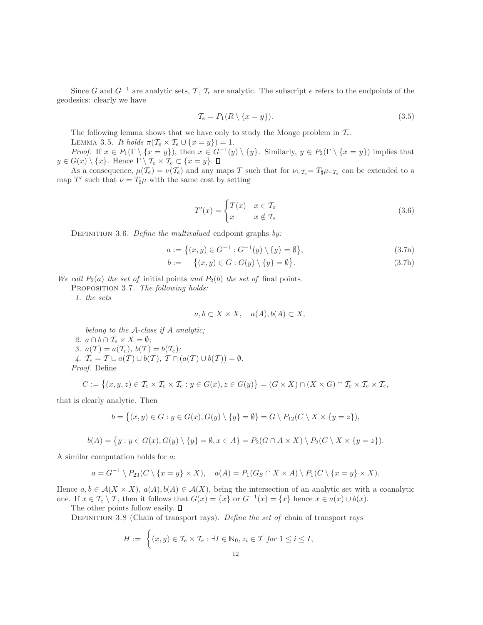Since G and  $G^{-1}$  are analytic sets, T,  $\mathcal{T}_e$  are analytic. The subscript e refers to the endpoints of the geodesics: clearly we have

$$
\mathcal{T}_e = P_1(R \setminus \{x = y\}).\tag{3.5}
$$

The following lemma shows that we have only to study the Monge problem in  $\mathcal{T}_e$ .

LEMMA 3.5. *It holds*  $\pi(\mathcal{T}_e \times \mathcal{T}_e \cup \{x = y\}) = 1$ .

*Proof.* If  $x \in P_1(\Gamma \setminus \{x = y\})$ , then  $x \in G^{-1}(y) \setminus \{y\}$ . Similarly,  $y \in P_2(\Gamma \setminus \{x = y\})$  implies that  $y \in G(x) \setminus \{x\}.$  Hence  $\Gamma \setminus \mathcal{T}_e \times \mathcal{T}_e \subset \{x = y\}.$   $\Box$ 

<span id="page-11-2"></span>As a consequence,  $\mu(\mathcal{T}_e) = \nu(\mathcal{T}_e)$  and any maps T such that for  $\nu \text{L}_{\mathcal{T}_e} = T_{\sharp} \mu \text{L}_{\mathcal{T}_e}$  can be extended to a map T' such that  $\nu = T_{\sharp}\mu$  with the same cost by setting

<span id="page-11-0"></span>
$$
T'(x) = \begin{cases} T(x) & x \in \mathcal{T}_e \\ x & x \notin \mathcal{T}_e \end{cases}
$$
 (3.6)

DEFINITION 3.6. *Define the multivalued* endpoint graphs *by*:

<span id="page-11-3"></span>
$$
a := \{(x, y) \in G^{-1} : G^{-1}(y) \setminus \{y\} = \emptyset\},\tag{3.7a}
$$

$$
b := \{(x, y) \in G : G(y) \setminus \{y\} = \emptyset\}.
$$
\n
$$
(3.7b)
$$

*We call*  $P_2(a)$  *the set of* initial points *and*  $P_2(b)$  *the set of* final points.

Proposition 3.7. *The following holds:*

*1. the sets*

$$
a, b \subset X \times X, \quad a(A), b(A) \subset X,
$$

*belong to the* A*-class if* A *analytic;* 2.  $a \cap b \cap \mathcal{T}_{e} \times X = \emptyset$ ; *3.*  $a(\mathcal{T}) = a(\mathcal{T}_e), b(\mathcal{T}) = b(\mathcal{T}_e);$ *4.*  $\mathcal{T}_e = \mathcal{T} \cup a(\mathcal{T}) \cup b(\mathcal{T}), \mathcal{T} \cap (a(\mathcal{T}) \cup b(\mathcal{T})) = \emptyset.$ *Proof*. Define

$$
C:=\big\{(x,y,z)\in\mathcal{T}_e\times\mathcal{T}_e\times\mathcal{T}_e:y\in G(x),z\in G(y)\big\}=(G\times X)\cap (X\times G)\cap\mathcal{T}_e\times\mathcal{T}_e\times\mathcal{T}_e,
$$

that is clearly analytic. Then

$$
b = \big\{ (x, y) \in G : y \in G(x), G(y) \setminus \{y\} = \emptyset \big\} = G \setminus P_{12}(C \setminus X \times \{y = z\}),
$$

$$
b(A) = \{y : y \in G(x), G(y) \setminus \{y\} = \emptyset, x \in A\} = P_2(G \cap A \times X) \setminus P_2(C \setminus X \times \{y = z\}).
$$

A similar computation holds for a:

$$
a = G^{-1} \setminus P_{23}(C \setminus \{x = y\} \times X), \quad a(A) = P_1(G_S \cap X \times A) \setminus P_1(C \setminus \{x = y\} \times X).
$$

Hence  $a, b \in \mathcal{A}(X \times X)$ ,  $a(A), b(A) \in \mathcal{A}(X)$ , being the intersection of an analytic set with a coanalytic one. If  $x \in \mathcal{T}_e \setminus \mathcal{T}$ , then it follows that  $G(x) = \{x\}$  or  $G^{-1}(x) = \{x\}$  hence  $x \in a(x) \cup b(x)$ .

<span id="page-11-1"></span>The other points follow easily.  $\square$ 

Definition 3.8 (Chain of transport rays). *Define the set of* chain of transport rays

$$
H := \left\{ (x, y) \in \mathcal{T}_e \times \mathcal{T}_e : \exists I \in \mathbb{N}_0, z_i \in \mathcal{T} \text{ for } 1 \leq i \leq I, \right\}
$$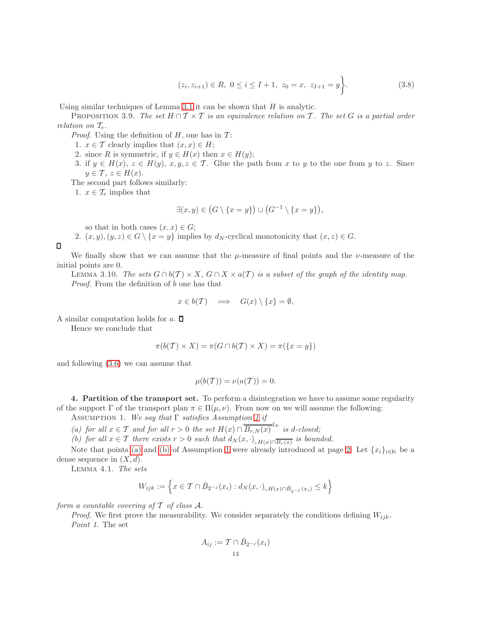$$
(z_i, z_{i+1}) \in R, \ 0 \le i \le I+1, \ z_0 = x, \ z_{I+1} = y \bigg\}.
$$
 (3.8)

<span id="page-12-0"></span>Using similar techniques of Lemma [3.1](#page-9-1) it can be shown that  $H$  is analytic.

PROPOSITION 3.9. *The set*  $H \cap T \times T$  *is an equivalence relation on* T. The set G *is a partial order relation on*  $\mathcal{T}_e$ *.* 

*Proof.* Using the definition of  $H$ , one has in  $\mathcal{T}$ :

- 1.  $x \in \mathcal{T}$  clearly implies that  $(x, x) \in H$ ;
- 2. since R is symmetric, if  $y \in H(x)$  then  $x \in H(y)$ ;
- 3. if  $y \in H(x)$ ,  $z \in H(y)$ ,  $x, y, z \in \mathcal{T}$ . Glue the path from x to y to the one from y to z. Since  $y \in \mathcal{T}, z \in H(x).$

The second part follows similarly:

1.  $x \in \mathcal{T}_e$  implies that

$$
\exists (x, y) \in (G \setminus \{x = y\}) \cup (G^{-1} \setminus \{x = y\}),
$$

so that in both cases  $(x, x) \in G$ ;

2.  $(x, y), (y, z) \in G \setminus \{x = y\}$  implies by  $d_N$ -cyclical monotonicity that  $(x, z) \in G$ .

 $\Box$ 

We finally show that we can assume that the  $\mu$ -measure of final points and the  $\nu$ -measure of the initial points are 0.

LEMMA 3.10. The sets  $G \cap b(\mathcal{T}) \times X$ ,  $G \cap X \times a(\mathcal{T})$  is a subset of the graph of the identity map. *Proof*. From the definition of b one has that

$$
x \in b(\mathcal{T}) \quad \Longrightarrow \quad G(x) \setminus \{x\} = \emptyset,
$$

A similar computation holds for  $a$ .  $\square$ 

Hence we conclude that

$$
\pi(b(\mathcal{T}) \times X) = \pi(G \cap b(\mathcal{T}) \times X) = \pi(\{x = y\})
$$

and following [\(3.6\)](#page-11-2) we can assume that

$$
\mu(b(\mathcal{T})) = \nu(a(\mathcal{T})) = 0.
$$

<span id="page-12-2"></span><span id="page-12-1"></span>4. Partition of the transport set. To perform a disintegration we have to assume some regularity of the support  $\Gamma$  of the transport plan  $\pi \in \Pi(\mu, \nu)$ . From now on we will assume the following:

<span id="page-12-3"></span>Assumption 1. *We say that* Γ *satisfies Assumption [1](#page-12-2) if*

<span id="page-12-4"></span>*(a)* for all  $x \in \mathcal{T}$  and for all  $r > 0$  the set  $H(x) \cap \overline{B_{r,N}(x)}^{d_N}$  is d-closed;

*(b) for all*  $x \in \mathcal{T}$  *there exists*  $r > 0$  *such that*  $d_N(x, \cdot)_{\text{lcm}(x) \cap \overline{B_r(x)}}$  *is bounded.* 

Note that points [\(a\)](#page-12-3) and [\(b\)](#page-12-4) of Assumption [1](#page-12-2) were already introduced at page [2.](#page-1-0) Let  $\{x_i\}_{i\in\mathbb{N}}$  be a dense sequence in  $(X, d)$ .

Lemma 4.1. *The sets*

$$
W_{ijk} := \left\{ x \in \mathcal{T} \cap \bar{B}_{2^{-j}}(x_i) : d_N(x, \cdot)_{\perp H(x) \cap \bar{B}_{2^{-j}}(x_i)} \le k \right\}
$$

*form a countable covering of*  $\mathcal T$  *of class*  $\mathcal A$ *.* 

*Proof.* We first prove the measurability. We consider separately the conditions defining  $W_{ijk}$ . *Point 1.* The set

$$
A_{ij} := \mathcal{T} \cap \bar{B}_{2^{-j}}(x_i)
$$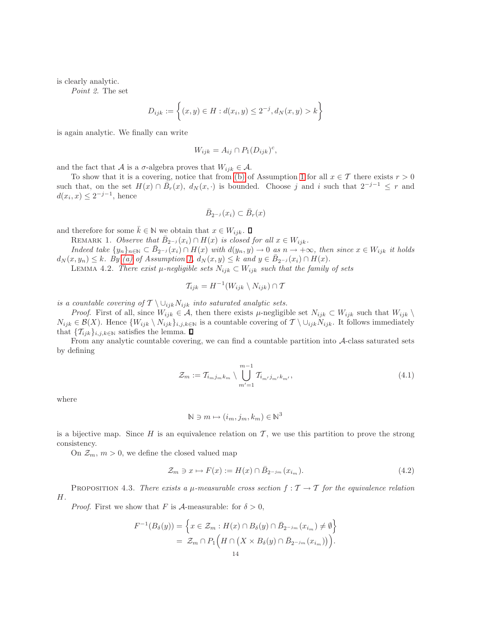is clearly analytic.

*Point 2.* The set

$$
D_{ijk} := \left\{ (x, y) \in H : d(x_i, y) \le 2^{-j}, d_N(x, y) > k \right\}
$$

is again analytic. We finally can write

$$
W_{ijk} = A_{ij} \cap P_1(D_{ijk})^c,
$$

and the fact that A is a  $\sigma$ -algebra proves that  $W_{ijk} \in \mathcal{A}$ .

To show that it is a covering, notice that from [\(b\)](#page-12-4) of Assumption [1](#page-12-2) for all  $x \in \mathcal{T}$  there exists  $r > 0$ such that, on the set  $H(x) \cap \overline{B}_r(x)$ ,  $d_N(x, \cdot)$  is bounded. Choose j and i such that  $2^{-j-1} \leq r$  and  $d(x_i, x) \leq 2^{-j-1}$ , hence

$$
\bar{B}_{2^{-j}}(x_i) \subset \bar{B}_r(x)
$$

<span id="page-13-1"></span>and therefore for some  $\bar{k} \in \mathbb{N}$  we obtain that  $x \in W_{iik}$ .  $\Box$ 

REMARK 1. *Observe that*  $\bar{B}_{2^{-j}}(x_i) \cap H(x)$  *is closed for all*  $x \in W_{ijk}$ .

*Indeed take*  $\{y_n\}_{n\in\mathbb{N}} \subset \overline{B}_{2^{-j}}(x_i) \cap H(x)$  *with*  $d(y_n, y) \to 0$  *as*  $n \to +\infty$ *, then since*  $x \in W_{ijk}$  *it holds*  $d_N(x, y_n) \leq k$ *. By* [\(a\)](#page-12-3) of Assumption [1,](#page-12-2)  $d_N(x, y) \leq k$  and  $y \in \overline{B}_{2^{-j}}(x_i) \cap H(x)$ *.* 

LEMMA 4.2. *There exist*  $\mu$ -negligible sets  $N_{ijk}$  ⊂  $W_{ijk}$  such that the family of sets

$$
\mathcal{T}_{ijk} = H^{-1}(W_{ijk} \setminus N_{ijk}) \cap \mathcal{T}
$$

*is a countable covering of*  $\mathcal{T} \setminus \cup_{ijk} N_{ijk}$  *into saturated analytic sets.* 

*Proof.* First of all, since  $W_{ijk} \in \mathcal{A}$ , then there exists  $\mu$ -negligible set  $N_{ijk} \subset W_{ijk}$  such that  $W_{ijk} \setminus$  $N_{ijk} \in \mathcal{B}(X)$ . Hence  $\{W_{ijk} \setminus N_{ijk}\}_{i,j,k\in\mathbb{N}}$  is a countable covering of  $\mathcal{T} \setminus \cup_{ijk} N_{ijk}$ . It follows immediately that  $\{\mathcal{T}_{ijk}\}_{i,j,k\in\mathbb{N}}$  satisfies the lemma.  $\Box$ 

<span id="page-13-2"></span>From any analytic countable covering, we can find a countable partition into A-class saturated sets by defining

$$
\mathcal{Z}_m := \mathcal{T}_{i_m j_m k_m} \setminus \bigcup_{m'=1}^{m-1} \mathcal{T}_{i_{m'} j_{m'} k_{m'}},\tag{4.1}
$$

where

<span id="page-13-3"></span>
$$
\mathbb{N} \ni m \mapsto (i_m, j_m, k_m) \in \mathbb{N}^3
$$

is a bijective map. Since  $H$  is an equivalence relation on  $T$ , we use this partition to prove the strong consistency.

On  $\mathcal{Z}_m$ ,  $m > 0$ , we define the closed valued map

$$
\mathcal{Z}_m \ni x \mapsto F(x) := H(x) \cap \bar{B}_{2^{-j}m}(x_{i_m}).\tag{4.2}
$$

<span id="page-13-0"></span>**PROPOSITION** 4.3. *There exists a*  $\mu$ -measurable cross section  $f : \mathcal{T} \to \mathcal{T}$  for the equivalence relation H*.*

*Proof.* First we show that F is A-measurable: for  $\delta > 0$ ,

$$
F^{-1}(B_{\delta}(y)) = \left\{ x \in \mathcal{Z}_m : H(x) \cap B_{\delta}(y) \cap \bar{B}_{2^{-j_m}}(x_{i_m}) \neq \emptyset \right\}
$$
  
=  $\mathcal{Z}_m \cap P_1(H \cap (X \times B_{\delta}(y) \cap \bar{B}_{2^{-j_m}}(x_{i_m}))$ ).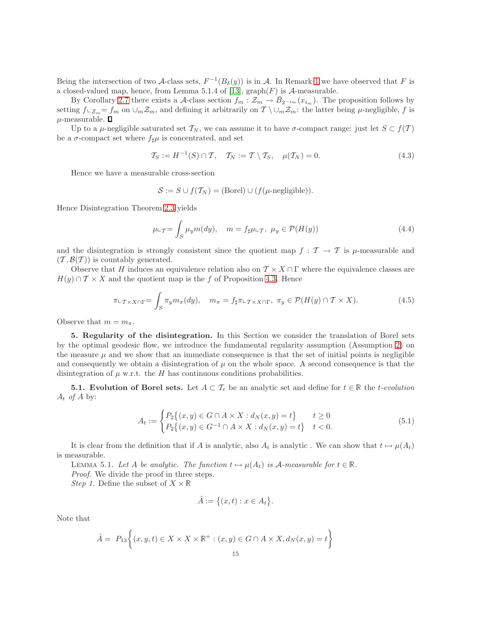Being the intersection of two A-class sets,  $F^{-1}(B_\delta(y))$  is in A. In Remark [1](#page-13-1) we have observed that F is a closed-valued map, hence, from Lemma 5.1.4 of [\[13\]](#page-26-6),  $\mathrm{graph}(F)$  is A-measurable.

By Corollary [2.7](#page-6-2) there exists a A-class section  $f_m : \mathcal{Z}_m \to \overline{B}_{2^{-j_m}}(x_{i_m})$ . The proposition follows by setting  $f\text{Lz}_m=f_m$  on  $\cup_m\mathcal{Z}_m$ , and defining it arbitrarily on  $\mathcal{T}\setminus\cup_m\mathcal{Z}_m$ : the latter being  $\mu$ -negligible, f is  $\mu\text{-measurable.}$   $\Box$ 

Up to a  $\mu$ -negligible saturated set  $\mathcal{T}_N$ , we can assume it to have  $\sigma$ -compact range: just let  $S \subset f(\mathcal{T})$ be a  $\sigma$ -compact set where  $f_{\sharp}\mu$  is concentrated, and set

<span id="page-14-3"></span>
$$
\mathcal{T}_S := H^{-1}(S) \cap \mathcal{T}, \quad \mathcal{T}_N := \mathcal{T} \setminus \mathcal{T}_S, \quad \mu(\mathcal{T}_N) = 0.
$$
\n
$$
(4.3)
$$

Hence we have a measurable cross-section

$$
S := S \cup f(\mathcal{T}_N) = (\text{Borel}) \cup (f(\mu\text{-negligible})).
$$

Hence Disintegration Theorem [2.3](#page-5-1) yields

$$
\mu \Leftrightarrow_{\mathcal{T}} = \int_{S} \mu_{y} m(dy), \quad m = f_{\sharp} \mu \Leftrightarrow_{\mathcal{T}}, \ \mu_{y} \in \mathcal{P}(H(y)) \tag{4.4}
$$

and the disintegration is strongly consistent since the quotient map  $f : \mathcal{T} \to \mathcal{T}$  is  $\mu$ -measurable and  $(\mathcal{T}, \mathcal{B}(\mathcal{T}))$  is countably generated.

Observe that H induces an equivalence relation also on  $\mathcal{T} \times X \cap \Gamma$  where the equivalence classes are  $H(y) \cap T \times X$  and the quotient map is the f of Proposition [4.3.](#page-13-0) Hence

$$
\pi \iota_{\mathcal{T} \times X \cap \Gamma} = \int_{S} \pi_{y} m_{\pi}(dy), \quad m_{\pi} = f_{\sharp} \pi \iota_{\mathcal{T} \times X \cap \Gamma}, \ \pi_{y} \in \mathcal{P}(H(y) \cap \mathcal{T} \times X). \tag{4.5}
$$

<span id="page-14-0"></span>Observe that  $m = m_{\pi}$ .

5. Regularity of the disintegration. In this Section we consider the translation of Borel sets by the optimal geodesic flow, we introduce the fundamental regularity assumption (Assumption [2\)](#page-15-1) on the measure  $\mu$  and we show that an immediate consequence is that the set of initial points is negligible and consequently we obtain a disintegration of  $\mu$  on the whole space. A second consequence is that the disintegration of  $\mu$  w.r.t. the H has continuous conditions probabilities.

5.1. Evolution of Borel sets. Let  $A \subset \mathcal{T}_e$  be an analytic set and define for  $t \in \mathbb{R}$  the t-evolution  $A_t$  *of*  $A$  by:

<span id="page-14-1"></span>
$$
A_t := \begin{cases} P_2\{(x, y) \in G \cap A \times X : d_N(x, y) = t\} & t \ge 0\\ P_2\{(x, y) \in G^{-1} \cap A \times X : d_N(x, y) = t\} & t < 0. \end{cases}
$$
(5.1)

<span id="page-14-2"></span>It is clear from the definition that if A is analytic, also  $A_t$  is analytic. We can show that  $t \mapsto \mu(A_t)$ is measurable.

LEMMA 5.1. Let A be analytic. The function  $t \mapsto \mu(A_t)$  is A-measurable for  $t \in \mathbb{R}$ . *Proof*. We divide the proof in three steps.

*Step 1.* Define the subset of  $X \times \mathbb{R}$ 

$$
\hat{A} := \big\{ (x, t) : x \in A_t \big\}.
$$

Note that

$$
\hat{A} = P_{13}\left\{(x, y, t) \in X \times X \times \mathbb{R}^+ : (x, y) \in G \cap A \times X, d_N(x, y) = t\right\}
$$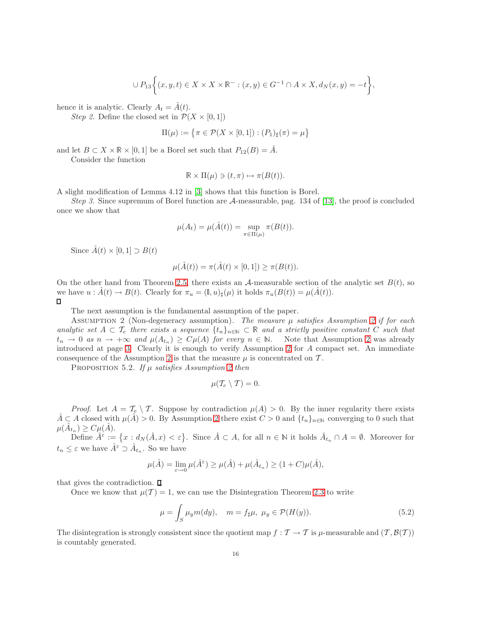$$
\cup P_{13}\bigg\{(x,y,t)\in X\times X\times\mathbb{R}^-:(x,y)\in G^{-1}\cap A\times X, d_N(x,y)=-t\bigg\},\
$$

hence it is analytic. Clearly  $A_t = \hat{A}(t)$ .

*Step 2.* Define the closed set in  $\mathcal{P}(X \times [0,1])$ 

$$
\Pi(\mu) := \left\{ \pi \in \mathcal{P}(X \times [0,1]) : (P_1)_{\sharp}(\pi) = \mu \right\}
$$

and let  $B \subset X \times \mathbb{R} \times [0,1]$  be a Borel set such that  $P_{12}(B) = \hat{A}$ .

Consider the function

$$
\mathbb{R} \times \Pi(\mu) \ni (t, \pi) \mapsto \pi(B(t)).
$$

A slight modification of Lemma 4.12 in [\[3\]](#page-25-6) shows that this function is Borel.

*Step 3.* Since supremum of Borel function are A-measurable, pag. 134 of [\[13\]](#page-26-6), the proof is concluded once we show that

$$
\mu(A_t) = \mu(\hat{A}(t)) = \sup_{\pi \in \Pi(\mu)} \pi(B(t)).
$$

Since  $\hat{A}(t) \times [0,1] \supset B(t)$ 

$$
\mu(\hat{A}(t)) = \pi(\hat{A}(t) \times [0,1]) \ge \pi(B(t)).
$$

On the other hand from Theorem [2.5,](#page-5-2) there exists an  $\mathcal{A}$ -measurable section of the analytic set  $B(t)$ , so we have  $u : \tilde{A}(t) \to B(t)$ . Clearly for  $\pi_u = (\mathbb{I}, u)_\sharp(\mu)$  it holds  $\pi_u(B(t)) = \mu(\tilde{A}(t))$ . 0

The next assumption is the fundamental assumption of the paper.

<span id="page-15-1"></span>Assumption 2 (Non-degeneracy assumption). *The measure* µ *satisfies Assumption [2](#page-15-1) if for each analytic set*  $A \subset \mathcal{T}_e$  *there exists a sequence*  $\{t_n\}_{n\in\mathbb{N}} \subset \mathbb{R}$  *and a strictly positive constant* C *such that*  $t_n \to 0$  *as*  $n \to +\infty$  *and*  $\mu(A_{t_n}) \ge C\mu(A)$  *for every*  $n \in \mathbb{N}$ . Note that Assumption [2](#page-15-1) was already introduced at page [3.](#page-2-0) Clearly it is enough to verify Assumption [2](#page-15-1) for A compact set. An immediate consequence of the Assumption [2](#page-15-1) is that the measure  $\mu$  is concentrated on  $\mathcal{T}$ .

<span id="page-15-0"></span>Proposition 5.2. *If* µ *satisfies Assumption [2](#page-15-1) then*

$$
\mu(\mathcal{T}_e\setminus \mathcal{T})=0.
$$

*Proof.* Let  $A = \mathcal{T}_e \setminus \mathcal{T}$ . Suppose by contradiction  $\mu(A) > 0$ . By the inner regularity there exists  $\hat{A} \subset A$  closed with  $\mu(\hat{A}) > 0$ . By Assumption [2](#page-15-1) there exist  $C > 0$  and  $\{t_n\}_{n \in \mathbb{N}}$  converging to 0 such that  $\mu(\hat{A}_{t_n}) \geq C \mu(\hat{A}).$ 

Define  $\hat{A}^{\varepsilon} := \{x : d_N(\hat{A}, x) < \varepsilon\}$ . Since  $\hat{A} \subset A$ , for all  $n \in \mathbb{N}$  it holds  $\hat{A}_{t_n} \cap A = \emptyset$ . Moreover for  $t_n \leq \varepsilon$  we have  $\hat{A}^{\varepsilon} \supset \hat{A}_{t_n}$ . So we have

$$
\mu(\hat{A}) = \lim_{\varepsilon \to 0} \mu(\hat{A}^{\varepsilon}) \ge \mu(\hat{A}) + \mu(\hat{A}_{t_n}) \ge (1+C)\mu(\hat{A}),
$$

that gives the contradiction.  $\Box$ 

Once we know that  $\mu(\mathcal{T}) = 1$ , we can use the Disintegration Theorem [2.3](#page-5-1) to write

$$
\mu = \int_{S} \mu_{y} m(dy), \quad m = f_{\sharp}\mu, \ \mu_{y} \in \mathcal{P}(H(y)). \tag{5.2}
$$

The disintegration is strongly consistent since the quotient map  $f : \mathcal{T} \to \mathcal{T}$  is  $\mu$ -measurable and  $(\mathcal{T}, \mathcal{B}(\mathcal{T}))$ is countably generated.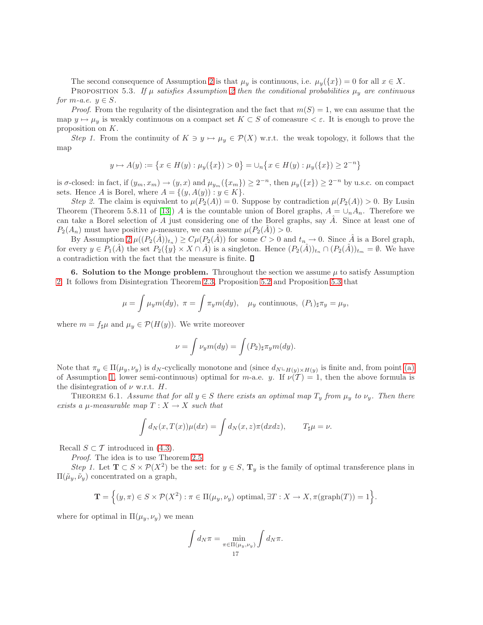The second consequence of Assumption [2](#page-15-1) is that  $\mu_y$  is continuous, i.e.  $\mu_y(\lbrace x \rbrace) = 0$  for all  $x \in X$ .

<span id="page-16-0"></span>PROPOSITION 5.3. If  $\mu$  *satisfies Assumption [2](#page-15-1) then the conditional probabilities*  $\mu_y$  *are continuous for*  $m$ *-a.e.*  $y \in S$ *.* 

*Proof.* From the regularity of the disintegration and the fact that  $m(S) = 1$ , we can assume that the map  $y \mapsto \mu_y$  is weakly continuous on a compact set  $K \subset S$  of comeasure  $\lt \varepsilon$ . It is enough to prove the proposition on K.

*Step 1.* From the continuity of  $K \ni y \mapsto \mu_y \in \mathcal{P}(X)$  w.r.t. the weak topology, it follows that the map

$$
y \mapsto A(y) := \left\{ x \in H(y) : \mu_y(\{x\}) > 0 \right\} = \cup_n \left\{ x \in H(y) : \mu_y(\{x\}) \ge 2^{-n} \right\}
$$

is  $\sigma$ -closed: in fact, if  $(y_m, x_m) \to (y, x)$  and  $\mu_{y_m}(\{x_m\}) \geq 2^{-n}$ , then  $\mu_y(\{x\}) \geq 2^{-n}$  by u.s.c. on compact sets. Hence A is Borel, where  $A = \{(y, A(y)) : y \in K\}.$ 

*Step 2.* The claim is equivalent to  $\mu(P_2(A)) = 0$ . Suppose by contradiction  $\mu(P_2(A)) > 0$ . By Lusin Theorem (Theorem 5.8.11 of [\[13\]](#page-26-6)) A is the countable union of Borel graphs,  $A = \bigcup_n A_n$ . Therefore we can take a Borel selection of A just considering one of the Borel graphs, say  $\hat{A}$ . Since at least one of  $P_2(A_n)$  must have positive  $\mu$ -measure, we can assume  $\mu(P_2(\hat{A})) > 0$ .

By Assumption  $2 \mu((P_2(\hat{A}))_{t_n}) \geq C\mu(P_2(\hat{A}))$  for some  $C > 0$  and  $t_n \to 0$ . Since  $\hat{A}$  is a Borel graph, for every  $y \in P_1(A)$  the set  $P_2({y} \times X \cap A)$  is a singleton. Hence  $(P_2(A))_{t_n} \cap (P_2(A))_{t_m} = \emptyset$ . We have a contradiction with the fact that the measure is finite.  $\Box$ 

<span id="page-16-2"></span>6. Solution to the Monge problem. Throughout the section we assume  $\mu$  to satisfy Assumption [2.](#page-15-1) It follows from Disintegration Theorem [2.3,](#page-5-1) Proposition [5.2](#page-15-0) and Proposition [5.3](#page-16-0) that

$$
\mu = \int \mu_y m(dy), \ \pi = \int \pi_y m(dy), \quad \mu_y \text{ continuous}, \ (P_1)_{\sharp} \pi_y = \mu_y,
$$

where  $m = f_{\sharp}\mu$  and  $\mu_{y} \in \mathcal{P}(H(y))$ . We write moreover

$$
\nu = \int \nu_y m(dy) = \int (P_2)_{\sharp} \pi_y m(dy).
$$

Note that  $\pi_y \in \Pi(\mu_y, \nu_y)$  is  $d_N$ -cyclically monotone and (since  $d_N \text{L}_{H(y) \times H(y)}$  is finite and, from point [\(a\)](#page-12-3) of Assumption [1,](#page-12-2) lower semi-continuous) optimal for m-a.e. y. If  $\nu(T) = 1$ , then the above formula is the disintegration of  $\nu$  w.r.t. H.

<span id="page-16-1"></span>THEOREM 6.1. *Assume that for all*  $y \in S$  *there exists an optimal map*  $T_y$  *from*  $\mu_y$  *to*  $\nu_y$ *. Then there exists a*  $\mu$ *-measurable map*  $T: X \rightarrow X$  *such that* 

$$
\int d_N(x, T(x))\mu(dx) = \int d_N(x, z)\pi(dxdz), \qquad T_{\sharp}\mu = \nu.
$$

Recall  $S \subset T$  introduced in [\(4.3\)](#page-14-3).

*Proof*. The idea is to use Theorem [2.5.](#page-5-2)

*Step 1.* Let  $\mathbf{T} \subset S \times \mathcal{P}(X^2)$  be the set: for  $y \in S$ ,  $\mathbf{T}_y$  is the family of optimal transference plans in  $\Pi(\tilde{\mu}_y, \tilde{\nu}_y)$  concentrated on a graph,

$$
\mathbf{T} = \left\{ (y,\pi) \in S \times \mathcal{P}(X^2) : \pi \in \Pi(\mu_y, \nu_y) \text{ optimal}, \exists T : X \to X, \pi(\text{graph}(T)) = 1 \right\}.
$$

where for optimal in  $\Pi(\mu_y, \nu_y)$  we mean

$$
\int d_N \pi = \min_{\substack{\pi \in \Pi(\mu_y, \nu_y) \\ 17}} \int d_N \pi.
$$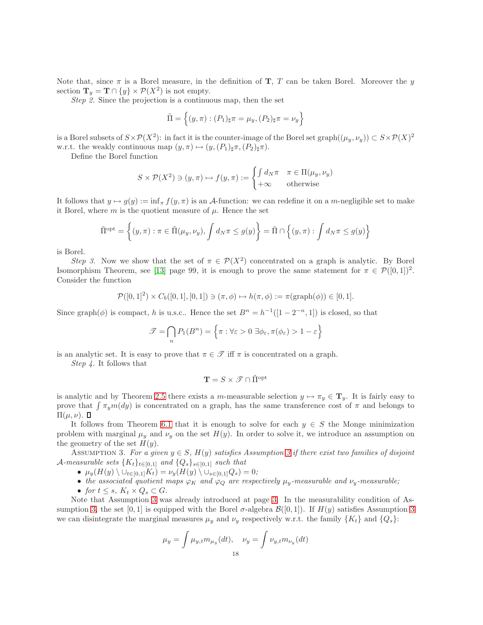Note that, since  $\pi$  is a Borel measure, in the definition of **T**, T can be taken Borel. Moreover the y section  $\mathbf{T}_y = \mathbf{T} \cap \{y\} \times \mathcal{P}(X^2)$  is not empty.

*Step 2.* Since the projection is a continuous map, then the set

$$
\tilde{\Pi} = \left\{ (y,\pi) : (P_1)_{\sharp} \pi = \mu_y, (P_2)_{\sharp} \pi = \nu_y \right\}
$$

is a Borel subsets of  $S \times \mathcal{P}(X^2)$ : in fact it is the counter-image of the Borel set graph $((\mu_y, \nu_y)) \subset S \times \mathcal{P}(X)^2$ w.r.t. the weakly continuous map  $(y, \pi) \mapsto (y,(P_1)_{\sharp} \pi,(P_2)_{\sharp} \pi)$ .

Define the Borel function

$$
S \times \mathcal{P}(X^2) \ni (y, \pi) \mapsto f(y, \pi) := \begin{cases} \int d_N \pi & \pi \in \Pi(\mu_y, \nu_y) \\ +\infty & \text{otherwise} \end{cases}
$$

It follows that  $y \mapsto g(y) := \inf_{\pi} f(y, \pi)$  is an A-function: we can redefine it on a m-negligible set to make it Borel, where m is the quotient measure of  $\mu$ . Hence the set

$$
\tilde{\Pi}^{\text{opt}} = \left\{ (y,\pi) : \pi \in \tilde{\Pi}(\mu_y, \nu_y), \int d_N \pi \le g(y) \right\} = \tilde{\Pi} \cap \left\{ (y,\pi) : \int d_N \pi \le g(y) \right\}
$$

is Borel.

*Step 3.* Now we show that the set of  $\pi \in \mathcal{P}(X^2)$  concentrated on a graph is analytic. By Borel Isomorphism Theorem, see [\[13\]](#page-26-6) page 99, it is enough to prove the same statement for  $\pi \in \mathcal{P}([0,1])^2$ . Consider the function

$$
\mathcal{P}([0,1]^2) \times C_b([0,1],[0,1]) \ni (\pi,\phi) \mapsto h(\pi,\phi) := \pi(\mathrm{graph}(\phi)) \in [0,1].
$$

Since graph $(\phi)$  is compact, h is u.s.c.. Hence the set  $B^n = h^{-1}([1 - 2^{-n}, 1])$  is closed, so that

$$
\mathcal{T} = \bigcap_n P_1(B^n) = \left\{ \pi : \forall \varepsilon > 0 \; \exists \phi_\varepsilon, \pi(\phi_\varepsilon) > 1 - \varepsilon \right\}
$$

is an analytic set. It is easy to prove that  $\pi \in \mathcal{T}$  iff  $\pi$  is concentrated on a graph.

*Step 4.* It follows that

$$
\mathbf{T}=S\times\mathscr{T}\cap\tilde{\Pi}^{\mathrm{opt}}
$$

is analytic and by Theorem [2.5](#page-5-2) there exists a m-measurable selection  $y \mapsto \pi_y \in \mathbf{T}_y$ . It is fairly easy to prove that  $\int \pi_y m(dy)$  is concentrated on a graph, has the same transference cost of  $\pi$  and belongs to  $\Pi(\mu,\nu)$ .  $\Box$ 

It follows from Theorem [6.1](#page-16-1) that it is enough to solve for each  $y \in S$  the Monge minimization problem with marginal  $\mu_y$  and  $\nu_y$  on the set  $H(y)$ . In order to solve it, we introduce an assumption on the geometry of the set  $H(y)$ .

<span id="page-17-0"></span>ASSUMPTION [3](#page-17-0). For a given  $y \in S$ ,  $H(y)$  satisfies Assumption 3 if there exist two families of disjoint  $\mathcal{A}\text{-}measurable sets }\{K_t\}_{t\in [0,1]}$  and  $\{Q_s\}_{s\in [0,1]}$  *such that* 

- $\mu_y(H(y) \setminus \cup_{t \in [0,1]} K_t) = \nu_y(H(y) \setminus \cup_{s \in [0,1]} Q_s) = 0;$
- the associated quotient maps  $\varphi_K$  and  $\varphi_Q$  are respectively  $\mu_y$ -measurable and  $\nu_y$ -measurable;
- *for*  $t \leq s$ *,*  $K_t \times Q_s \subset G$ *.*

Note that Assumption [3](#page-17-0) was already introduced at page [3.](#page-2-1) In the measurability condition of As-sumption [3,](#page-17-0) the set [0, 1] is equipped with the Borel  $\sigma$ -algebra  $\mathcal{B}([0,1])$ . If  $H(y)$  satisfies Assumption [3](#page-17-0) we can disintegrate the marginal measures  $\mu_y$  and  $\nu_y$  respectively w.r.t. the family  $\{K_t\}$  and  $\{Q_s\}$ :

$$
\mu_y = \int \mu_{y,t} m_{\mu_y}(dt), \quad \nu_y = \int \nu_{y,t} m_{\nu_y}(dt)
$$
18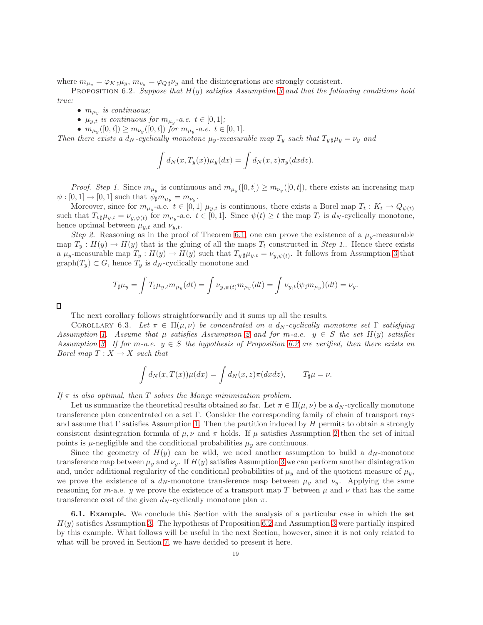<span id="page-18-0"></span>where  $m_{\mu_y} = \varphi_{K\sharp}\mu_y$ ,  $m_{\nu_y} = \varphi_{Q\sharp}\nu_y$  and the disintegrations are strongly consistent.

Proposition 6.2. *Suppose that* H(y) *satisfies Assumption [3](#page-17-0) and that the following conditions hold true:*

- $\bullet$   $m_{\mu_y}$  is continuous;
- $\mu_{y,t}$  *is continuous for*  $m_{\mu_y}$ -*a.e.*  $t \in [0,1]$ ;
- $m_{\mu_y}([0,t]) \geq m_{\nu_y}([0,t])$  for  $m_{\mu_y}$ -a.e.  $t \in [0,1]$ .

*Then there exists a*  $d_N$ *-cyclically monotone*  $\mu_y$ -measurable map  $T_y$  *such that*  $T_{y \sharp} \mu_y = \nu_y$  and

$$
\int d_N(x, T_y(x)) \mu_y(dx) = \int d_N(x, z) \pi_y(dx dz).
$$

*Proof. Step 1*. Since  $m_{\mu_y}$  is continuous and  $m_{\mu_y}([0,t]) \geq m_{\nu_y}([0,t])$ , there exists an increasing map  $\psi : [0,1] \to [0,1]$  such that  $\psi_{\sharp} m_{\mu_y} = m_{\nu_y}$ .

Moreover, since for  $m_{\mu_y}$ -a.e.  $t \in [0,1]$   $\mu_{y,t}$  is continuous, there exists a Borel map  $T_t: K_t \to Q_{\psi(t)}$ such that  $T_{t\sharp}\mu_{y,t} = \nu_{y,\psi(t)}$  for  $m_{\mu_y}$ -a.e.  $t \in [0,1]$ . Since  $\psi(t) \geq t$  the map  $T_t$  is  $d_N$ -cyclically monotone, hence optimal between  $\mu_{y,t}$  and  $\nu_{y,t}$ .

*Step 2.* Reasoning as in the proof of Theorem [6.1,](#page-16-1) one can prove the existence of a  $\mu_y$ -measurable map  $T_y : H(y) \to H(y)$  that is the gluing of all the maps  $T_t$  constructed in *Step 1*. Hence there exists a  $\mu_y$ -measurable map  $T_y: H(y) \to H(y)$  such that  $T_{y\,\sharp}\mu_{y,t} = \nu_{y,\psi(t)}$ . It follows from Assumption [3](#page-17-0) that  $graph(T_y) \subset G$ , hence  $T_y$  is  $d_N$ -cyclically monotone and

$$
T_{\sharp}\mu_y = \int T_{\sharp}\mu_{y,t}m_{\mu_y}(dt) = \int \nu_{y,\psi(t)}m_{\mu_y}(dt) = \int \nu_{y,t}(\psi_{\sharp}m_{\mu_y})(dt) = \nu_y.
$$

Д

The next corollary follows straightforwardly and it sums up all the results.

COROLLARY 6.3. Let  $\pi \in \Pi(\mu, \nu)$  be concentrated on a  $d_N$ -cyclically monotone set  $\Gamma$  satisfying *Assumption* [1.](#page-12-2) Assume that  $\mu$  satisfies Assumption [2](#page-15-1) and for m-a.e.  $y \in S$  the set  $H(y)$  satisfies *Assumption* [3.](#page-17-0) If for m-a.e.  $y \in S$  the hypothesis of Proposition [6.2](#page-18-0) are verified, then there exists an *Borel map*  $T: X \rightarrow X$  *such that* 

$$
\int d_N(x, T(x))\mu(dx) = \int d_N(x, z)\pi(dxdz), \qquad T_{\sharp}\mu = \nu.
$$

*If* π *is also optimal, then* T *solves the Monge minimization problem.*

Let us summarize the theoretical results obtained so far. Let  $\pi \in \Pi(\mu, \nu)$  be a  $d_N$ -cyclically monotone transference plan concentrated on a set Γ. Consider the corresponding family of chain of transport rays and assume that  $\Gamma$  satisfies Assumption [1.](#page-12-2) Then the partition induced by H permits to obtain a strongly consistent disintegration formula of  $\mu, \nu$  and  $\pi$  holds. If  $\mu$  satisfies Assumption [2](#page-15-1) then the set of initial points is  $\mu$ -negligible and the conditional probabilities  $\mu_{\nu}$  are continuous.

Since the geometry of  $H(y)$  can be wild, we need another assumption to build a  $d_N$ -monotone transference map between  $\mu_y$  and  $\nu_y$ . If  $H(y)$  satisfies Assumption [3](#page-17-0) we can perform another disintegration and, under additional regularity of the conditional probabilities of  $\mu_y$  and of the quotient measure of  $\mu_y$ , we prove the existence of a  $d_N$ -monotone transference map between  $\mu_y$  and  $\nu_y$ . Applying the same reasoning for m-a.e. y we prove the existence of a transport map T between  $\mu$  and  $\nu$  that has the same transference cost of the given  $d_N$ -cyclically monotone plan  $\pi$ .

<span id="page-18-1"></span>6.1. Example. We conclude this Section with the analysis of a particular case in which the set  $H(y)$  satisfies Assumption [3.](#page-17-0) The hypothesis of Proposition [6.2](#page-18-0) and Assumption [3](#page-17-0) were partially inspired by this example. What follows will be useful in the next Section, however, since it is not only related to what will be proved in Section [7,](#page-19-0) we have decided to present it here.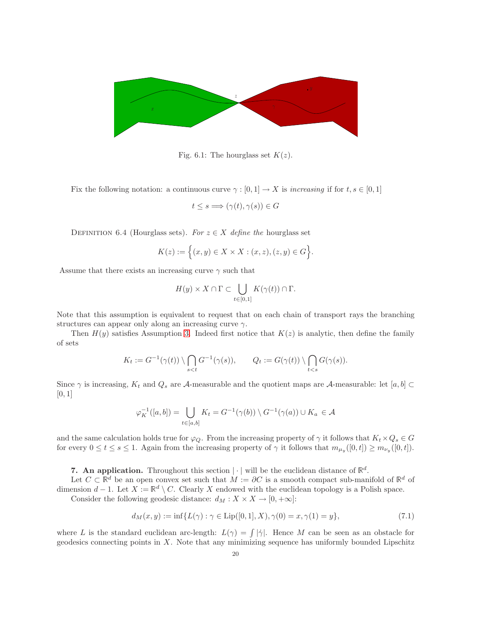

Fig. 6.1: The hourglass set  $K(z)$ .

Fix the following notation: a continuous curve  $\gamma : [0,1] \to X$  is *increasing* if for  $t, s \in [0,1]$ 

$$
t \le s \Longrightarrow (\gamma(t), \gamma(s)) \in G
$$

DEFINITION 6.4 (Hourglass sets). *For*  $z \in X$  *define the* hourglass set

$$
K(z) := \Big\{ (x, y) \in X \times X : (x, z), (z, y) \in G \Big\}.
$$

Assume that there exists an increasing curve  $\gamma$  such that

$$
H(y) \times X \cap \Gamma \subset \bigcup_{t \in [0,1]} K(\gamma(t)) \cap \Gamma.
$$

Note that this assumption is equivalent to request that on each chain of transport rays the branching structures can appear only along an increasing curve  $\gamma$ .

Then  $H(y)$  satisfies Assumption [3.](#page-17-0) Indeed first notice that  $K(z)$  is analytic, then define the family of sets

$$
K_t := G^{-1}(\gamma(t)) \setminus \bigcap_{s < t} G^{-1}(\gamma(s)), \qquad Q_t := G(\gamma(t)) \setminus \bigcap_{t < s} G(\gamma(s)).
$$

Since  $\gamma$  is increasing,  $K_t$  and  $Q_s$  are A-measurable and the quotient maps are A-measurable: let  $[a, b] \subset$  $[0, 1]$ 

$$
\varphi_K^{-1}([a,b]) = \bigcup_{t \in [a,b]} K_t = G^{-1}(\gamma(b)) \setminus G^{-1}(\gamma(a)) \cup K_a \in \mathcal{A}
$$

and the same calculation holds true for  $\varphi_Q$ . From the increasing property of  $\gamma$  it follows that  $K_t \times Q_s \in G$ for every  $0 \le t \le s \le 1$ . Again from the increasing property of  $\gamma$  it follows that  $m_{\mu_y}([0,t]) \ge m_{\nu_y}([0,t])$ .

<span id="page-19-0"></span>7. An application. Throughout this section  $|\cdot|$  will be the euclidean distance of  $\mathbb{R}^d$ .

Let  $C \subset \mathbb{R}^d$  be an open convex set such that  $M := \partial C$  is a smooth compact sub-manifold of  $\mathbb{R}^d$  of dimension  $d-1$ . Let  $X := \mathbb{R}^d \setminus C$ . Clearly X endowed with the euclidean topology is a Polish space.

Consider the following geodesic distance:  $d_M : X \times X \to [0, +\infty]$ :

<span id="page-19-1"></span>
$$
d_M(x, y) := \inf \{ L(\gamma) : \gamma \in \text{Lip}([0, 1], X), \gamma(0) = x, \gamma(1) = y \},\tag{7.1}
$$

where L is the standard euclidean arc-length:  $L(\gamma) = \int |\dot{\gamma}|$ . Hence M can be seen as an obstacle for geodesics connecting points in  $X$ . Note that any minimizing sequence has uniformly bounded Lipschitz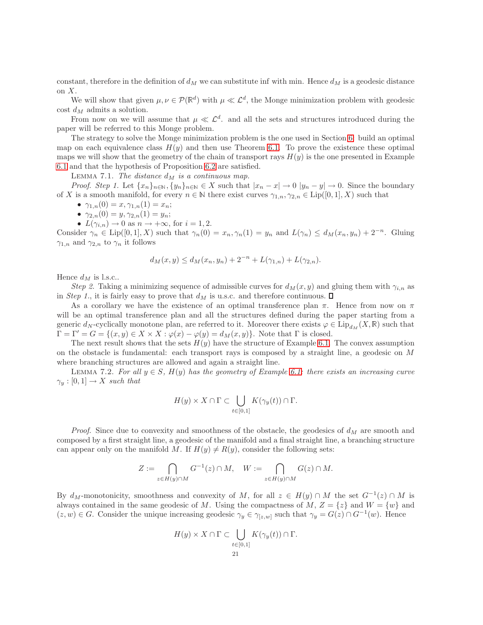constant, therefore in the definition of  $d_M$  we can substitute inf with min. Hence  $d_M$  is a geodesic distance on  $X$ .

We will show that given  $\mu, \nu \in \mathcal{P}(\mathbb{R}^d)$  with  $\mu \ll \mathcal{L}^d$ , the Monge minimization problem with geodesic cost  $d_M$  admits a solution.

From now on we will assume that  $\mu \ll \mathcal{L}^d$ . and all the sets and structures introduced during the paper will be referred to this Monge problem.

The strategy to solve the Monge minimization problem is the one used in Section [6:](#page-16-2) build an optimal map on each equivalence class  $H(y)$  and then use Theorem [6.1.](#page-16-1) To prove the existence these optimal maps we will show that the geometry of the chain of transport rays  $H(y)$  is the one presented in Example [6.1](#page-18-1) and that the hypothesis of Proposition [6.2](#page-18-0) are satisfied.

<span id="page-20-0"></span>LEMMA 7.1. *The distance*  $d_M$  *is a continuous map.* 

*Proof. Step 1.* Let  $\{x_n\}_{n\in\mathbb{N}}, \{y_n\}_{n\in\mathbb{N}} \in X$  such that  $|x_n - x| \to 0$   $|y_n - y| \to 0$ . Since the boundary of X is a smooth manifold, for every  $n \in \mathbb{N}$  there exist curves  $\gamma_{1,n}, \gamma_{2,n} \in \text{Lip}([0,1], X)$  such that

- $\gamma_{1,n}(0) = x, \gamma_{1,n}(1) = x_n;$
- $\gamma_{2,n}(0) = y, \gamma_{2,n}(1) = y_n;$
- $L(\gamma_{i,n}) \to 0$  as  $n \to +\infty$ , for  $i = 1, 2$ .

Consider  $\gamma_n \in \text{Lip}([0,1], X)$  such that  $\gamma_n(0) = x_n, \gamma_n(1) = y_n$  and  $L(\gamma_n) \leq d_M(x_n, y_n) + 2^{-n}$ . Gluing  $\gamma_{1,n}$  and  $\gamma_{2,n}$  to  $\gamma_n$  it follows

$$
d_M(x, y) \le d_M(x_n, y_n) + 2^{-n} + L(\gamma_{1,n}) + L(\gamma_{2,n}).
$$

Hence  $d_M$  is l.s.c..

*Step 2.* Taking a minimizing sequence of admissible curves for  $d_M(x, y)$  and gluing them with  $\gamma_{i,n}$  as in *Step 1.*, it is fairly easy to prove that  $d_M$  is u.s.c. and therefore continuous.  $\Box$ 

As a corollary we have the existence of an optimal transference plan  $\pi$ . Hence from now on  $\pi$ will be an optimal transference plan and all the structures defined during the paper starting from a generic  $d_N$ -cyclically monotone plan, are referred to it. Moreover there exists  $\varphi \in \text{Lip}_{d_M}(X,\mathbb{R})$  such that  $\Gamma = \Gamma' = G = \{(x, y) \in X \times X : \varphi(x) - \varphi(y) = d_M(x, y)\}.$  Note that  $\Gamma$  is closed.

The next result shows that the sets  $H(y)$  have the structure of Example [6.1.](#page-18-1) The convex assumption on the obstacle is fundamental: each transport rays is composed by a straight line, a geodesic on M where branching structures are allowed and again a straight line.

<span id="page-20-1"></span>LEMMA 7.2. For all  $y \in S$ ,  $H(y)$  has the geometry of Example [6.1:](#page-18-1) there exists an increasing curve  $\gamma_y : [0,1] \to X$  *such that* 

$$
H(y) \times X \cap \Gamma \subset \bigcup_{t \in [0,1]} K(\gamma_y(t)) \cap \Gamma.
$$

*Proof.* Since due to convexity and smoothness of the obstacle, the geodesics of  $d<sub>M</sub>$  are smooth and composed by a first straight line, a geodesic of the manifold and a final straight line, a branching structure can appear only on the manifold M. If  $H(y) \neq R(y)$ , consider the following sets:

$$
Z := \bigcap_{z \in H(y) \cap M} G^{-1}(z) \cap M, \quad W := \bigcap_{z \in H(y) \cap M} G(z) \cap M.
$$

By  $d_M$ -monotonicity, smoothness and convexity of M, for all  $z \in H(y) \cap M$  the set  $G^{-1}(z) \cap M$  is always contained in the same geodesic of M. Using the compactness of  $M, Z = \{z\}$  and  $W = \{w\}$  and  $(z, w) \in G$ . Consider the unique increasing geodesic  $\gamma_y \in \gamma_{[z,w]}$  such that  $\gamma_y = G(z) \cap G^{-1}(w)$ . Hence

$$
H(y) \times X \cap \Gamma \subset \bigcup_{\substack{t \in [0,1] \\ 21}} K(\gamma_y(t)) \cap \Gamma.
$$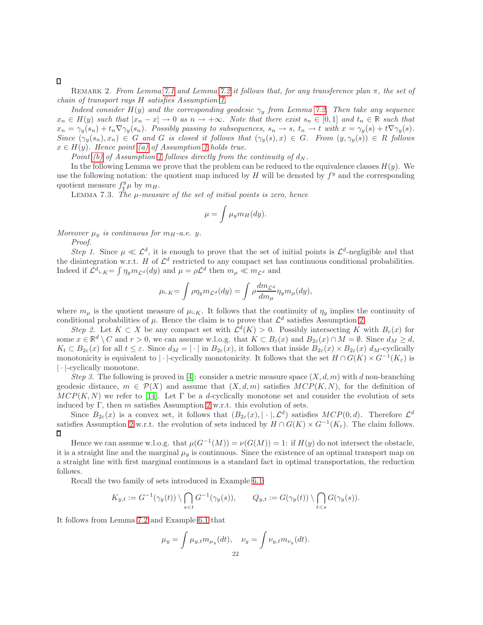### <span id="page-21-0"></span> $\Box$

Remark 2. *From Lemma [7.1](#page-20-0) and Lemma [7.2](#page-20-1) it follows that, for any transference plan* π*, the set of chain of transport rays* H *satisfies Assumption [1.](#page-12-2)*

*Indeed consider*  $H(y)$  *and the corresponding geodesic*  $\gamma_y$  *from Lemma [7.2.](#page-20-1) Then take any sequence*  $x_n \in H(y)$  such that  $|x_n - x| \to 0$  as  $n \to +\infty$ . Note that there exist  $s_n \in [0,1]$  and  $t_n \in \mathbb{R}$  such that  $x_n = \gamma_y(s_n) + t_n \nabla \gamma_y(s_n)$ . Possibly passing to subsequences,  $s_n \to s$ ,  $t_n \to t$  with  $x = \gamma_y(s) + t \nabla \gamma_y(s)$ .  $Since \,(\gamma_y(s_n), x_n) \in G$  and G is closed it follows that  $(\gamma_y(s), x) \in G$ . From  $(y, \gamma_y(s)) \in R$  follows  $x \in H(y)$ *. Hence point (a) of Assumption [1](#page-12-2) holds true.* 

*Point* [\(b\)](#page-12-4) of Assumption [1](#page-12-2) follows directly from the continuity of  $d_N$ .

In the following Lemma we prove that the problem can be reduced to the equivalence classes  $H(y)$ . We use the following notation: the quotient map induced by  $H$  will be denoted by  $f<sup>y</sup>$  and the corresponding quotient measure  $f^y_\sharp\mu$  by  $m_H$ .

<span id="page-21-1"></span>Lemma 7.3. *The* µ*-measure of the set of initial points is zero, hence*

$$
\mu = \int \mu_y m_H(dy).
$$

*Moreover*  $\mu_y$  *is continuous for*  $m_H$ -*a.e. y*.

*Proof*.

*Step 1.* Since  $\mu \ll L^d$ , it is enough to prove that the set of initial points is  $\mathcal{L}^d$ -negligible and that the disintegration w.r.t. H of  $\mathcal{L}^d$  restricted to any compact set has continuous conditional probabilities. Indeed if  $\mathcal{L}^d$ <sub>LK</sub> =  $\int \eta_y m_{\mathcal{L}^d}(dy)$  and  $\mu = \rho \mathcal{L}^d$  then  $m_{\mu} \ll m_{\mathcal{L}^d}$  and

$$
\mu_{\mathsf{L} K} = \int \rho \eta_y m_{\mathcal{L}^d}(dy) = \int \rho \frac{dm_{\mathcal{L}^d}}{dm_\mu} \eta_y m_\mu(dy),
$$

where  $m_{\mu}$  is the quotient measure of  $\mu_{K}$ . It follows that the continuity of  $\eta_{y}$  implies the continuity of conditional probabilities of  $\mu$ . Hence the claim is to prove that  $\mathcal{L}^d$  satisfies Assumption [2.](#page-15-1)

*Step 2.* Let  $K \subset X$  be any compact set with  $\mathcal{L}^d(K) > 0$ . Possibly intersecting K with  $B_r(x)$  for some  $x \in \mathbb{R}^d \setminus C$  and  $r > 0$ , we can assume w.l.o.g. that  $K \subset B_{\varepsilon}(x)$  and  $B_{2\varepsilon}(x) \cap M = \emptyset$ . Since  $d_M \geq d$ ,  $K_t \subset B_{2\varepsilon}(x)$  for all  $t \leq \varepsilon$ . Since  $d_M = |\cdot|$  in  $B_{2\varepsilon}(x)$ , it follows that inside  $B_{2\varepsilon}(x) \times B_{2\varepsilon}(x) d_M$ -cyclically monotonicity is equivalent to | · |-cyclically monotonicity. It follows that the set  $H \cap G(K) \times G^{-1}(K_{\varepsilon})$  is | · |-cyclically monotone.

*Step 3.* The following is proved in [\[4\]](#page-25-4): consider a metric measure space  $(X, d, m)$  with d non-branching geodesic distance,  $m \in \mathcal{P}(X)$  and assume that  $(X, d, m)$  satisfies  $MCP(K, N)$ , for the definition of  $MCP(K, N)$  we refer to [\[14\]](#page-26-8). Let  $\Gamma$  be a d-cyclically monotone set and consider the evolution of sets induced by Γ, then m satisfies Assumption [2](#page-15-1) w.r.t. this evolution of sets.

Since  $B_{2\varepsilon}(x)$  is a convex set, it follows that  $(B_{2\varepsilon}(x), |\cdot|, \mathcal{L}^d)$  satisfies  $MCP(0, d)$ . Therefore  $\mathcal{L}^d$ satisfies Assumption [2](#page-15-1) w.r.t. the evolution of sets induced by  $H \cap G(K) \times G^{-1}(K_{\varepsilon})$ . The claim follows.  $\Box$ 

Hence we can assume w.l.o.g. that  $\mu(G^{-1}(M)) = \nu(G(M)) = 1$ : if  $H(y)$  do not intersect the obstacle, it is a straight line and the marginal  $\mu_y$  is continuous. Since the existence of an optimal transport map on a straight line with first marginal continuous is a standard fact in optimal transportation, the reduction follows.

Recall the two family of sets introduced in Example [6.1:](#page-18-1)

$$
K_{y,t} := G^{-1}(\gamma_y(t)) \setminus \bigcap_{s
$$

It follows from Lemma [7.2](#page-20-1) and Example [6.1](#page-18-1) that

$$
\mu_y = \int \mu_{y,t} m_{\mu_y}(dt), \quad \nu_y = \int \nu_{y,t} m_{\nu_y}(dt).
$$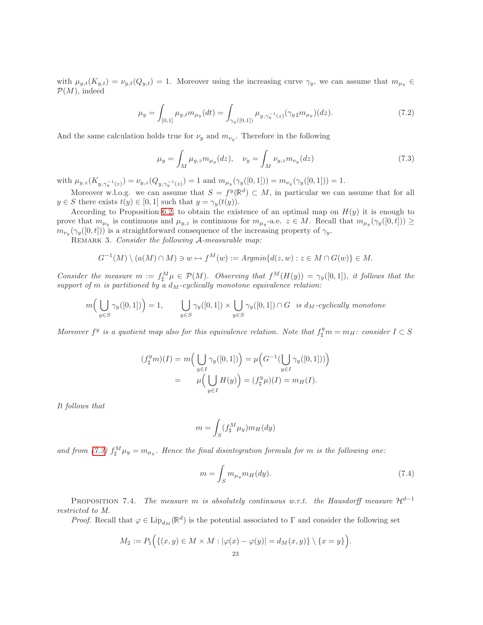with  $\mu_{y,t}(K_{y,t}) = \nu_{y,t}(Q_{y,t}) = 1$ . Moreover using the increasing curve  $\gamma_y$ , we can assume that  $m_{\mu_y} \in$  $\mathcal{P}(M)$ , indeed

$$
\mu_y = \int_{[0,1]} \mu_{y,t} m_{\mu_y}(dt) = \int_{\gamma_y([0,1])} \mu_{y,\gamma_y^{-1}(z)}(\gamma_y \mu_{\mu_y})(dz). \tag{7.2}
$$

And the same calculation holds true for  $\nu_y$  and  $m_{\nu_y}$ . Therefore in the following

<span id="page-22-1"></span>
$$
\mu_y = \int_M \mu_{y,z} m_{\mu_y}(dz), \quad \nu_y = \int_M \nu_{y,z} m_{\nu_y}(dz)
$$
\n(7.3)

with  $\mu_{y,z}(K_{y,\gamma_y^{-1}(z)}) = \nu_{y,z}(Q_{y,\gamma_y^{-1}(z)}) = 1$  and  $m_{\mu_y}(\gamma_y([0,1])) = m_{\nu_y}(\gamma_y([0,1])) = 1$ .

Moreover w.l.o.g. we can assume that  $S = f^y(\mathbb{R}^d) \subset M$ , in particular we can assume that for all  $y \in S$  there exists  $t(y) \in [0, 1]$  such that  $y = \gamma_y(t(y))$ .

According to Proposition [6.2,](#page-18-0) to obtain the existence of an optimal map on  $H(y)$  it is enough to prove that  $m_{\mu_y}$  is continuous and  $\mu_{y,z}$  is continuous for  $m_{\mu_y}$ -a.e.  $z \in M$ . Recall that  $m_{\mu_y}(\gamma_y([0,t])) \ge$  $m_{\nu_y}(\gamma_y([0,t]))$  is a straightforward consequence of the increasing property of  $\gamma_y$ .

<span id="page-22-2"></span>Remark 3. *Consider the following* A*-measurable map:*

$$
G^{-1}(M)\setminus (a(M)\cap M)\ni w\mapsto f^M(w):=Argmin\{d(z,w):z\in M\cap G(w)\}\in M.
$$

*Consider the measure*  $m := f^M_\sharp \mu \in \mathcal{P}(M)$ *. Observing that*  $f^M(H(y)) = \gamma_y([0,1])$ *, it follows that the*  $support\ of\ m\ is\ partitioned\ by\ a\ d_M-cyclically\ monotone\ equivalent\ relation:$ 

$$
m\Big(\bigcup_{y\in S}\gamma_y([0,1])\Big) = 1, \qquad \bigcup_{y\in S}\gamma_y([0,1]) \times \bigcup_{y\in S}\gamma_y([0,1]) \cap G \text{ is } d_M\text{-cyclically monotone}
$$

*Moreover*  $f^y$  is a quotient map also for this equivalence relation. Note that  $f^y_{\sharp}m = m_H$ : consider  $I \subset S$ 

$$
(f_{\sharp}^{y}m)(I) = m\left(\bigcup_{y \in I} \gamma_{y}([0,1])\right) = \mu\left(G^{-1}(\bigcup_{y \in I} \gamma_{y}([0,1]))\right)
$$

$$
= \mu\left(\bigcup_{y \in I} H(y)\right) = (f_{\sharp}^{y}\mu)(I) = m_{H}(I).
$$

*It follows that*

$$
m = \int_{S} (f_{\sharp}^{M} \mu_{y}) m_{H}(dy)
$$

and from [\(7.3\)](#page-22-1)  $f^M_\sharp \mu_y = m_{\mu_y}$ . Hence the final disintegration formula for m is the following one:

$$
m = \int_{S} m_{\mu_y} m_H(dy). \tag{7.4}
$$

.

<span id="page-22-0"></span>PROPOSITION 7.4. *The measure* m *is absolutely continuous w.r.t. the Hausdorff measure*  $\mathcal{H}^{d-1}$ *restricted to M.*

*Proof.* Recall that  $\varphi \in \text{Lip}_{d_M}(\mathbb{R}^d)$  is the potential associated to  $\Gamma$  and consider the following set

$$
M_2 := P_1\Big(\{(x,y)\in M\times M : |\varphi(x)-\varphi(y)|=d_M(x,y)\}\setminus\{x=y\}\Big)
$$
  
23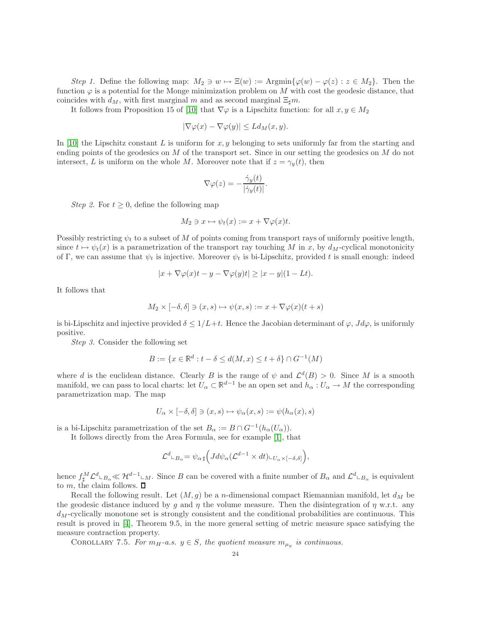*Step 1.* Define the following map:  $M_2 \ni w \mapsto \Xi(w) := \text{Argmin}\{\varphi(w) - \varphi(z) : z \in M_2\}.$  Then the function  $\varphi$  is a potential for the Monge minimization problem on M with cost the geodesic distance, that coincides with  $d_M$ , with first marginal m and as second marginal  $\Xi_{\sharp}m$ .

It follows from Proposition 15 of [\[10\]](#page-26-5) that  $\nabla\varphi$  is a Lipschitz function: for all  $x, y \in M_2$ 

$$
|\nabla \varphi(x) - \nabla \varphi(y)| \le L d_M(x, y).
$$

In [\[10\]](#page-26-5) the Lipschitz constant L is uniform for x, y belonging to sets uniformly far from the starting and ending points of the geodesics on  $M$  of the transport set. Since in our setting the geodesics on  $M$  do not intersect, L is uniform on the whole M. Moreover note that if  $z = \gamma_y(t)$ , then

$$
\nabla \varphi(z) = -\frac{\dot{\gamma}_y(t)}{|\dot{\gamma}_y(t)|}.
$$

*Step 2.* For  $t \geq 0$ , define the following map

$$
M_2 \ni x \mapsto \psi_t(x) := x + \nabla \varphi(x)t.
$$

Possibly restricting  $\psi_t$  to a subset of M of points coming from transport rays of uniformly positive length, since  $t \mapsto \psi_t(x)$  is a parametrization of the transport ray touching M in x, by  $d_M$ -cyclical monotonicity of Γ, we can assume that  $\psi_t$  is injective. Moreover  $\psi_t$  is bi-Lipschitz, provided t is small enough: indeed

$$
|x + \nabla \varphi(x)t - y - \nabla \varphi(y)t| \ge |x - y|(1 - Lt).
$$

It follows that

$$
M_2 \times [-\delta, \delta] \ni (x, s) \mapsto \psi(x, s) := x + \nabla \varphi(x)(t + s)
$$

is bi-Lipschitz and injective provided  $\delta \leq 1/L+t$ . Hence the Jacobian determinant of  $\varphi$ ,  $Jd\varphi$ , is uniformly positive.

*Step 3.* Consider the following set

$$
B := \{ x \in \mathbb{R}^d : t - \delta \le d(M, x) \le t + \delta \} \cap G^{-1}(M)
$$

where d is the euclidean distance. Clearly B is the range of  $\psi$  and  $\mathcal{L}^d(B) > 0$ . Since M is a smooth manifold, we can pass to local charts: let  $\tilde{U}_{\alpha} \subset \mathbb{R}^{d-1}$  be an open set and  $\tilde{h}_{\alpha}: U_{\alpha} \to M$  the corresponding parametrization map. The map

$$
U_{\alpha}\times[-\delta,\delta]\ni(x,s)\mapsto\psi_{\alpha}(x,s):=\psi(h_{\alpha}(x),s)
$$

is a bi-Lipschitz parametrization of the set  $B_{\alpha} := B \cap G^{-1}(h_{\alpha}(U_{\alpha})).$ 

It follows directly from the Area Formula, see for example [\[1\]](#page-25-8), that

$$
\mathcal{L}^d \llcorner_{B_{\alpha}} = \psi_{\alpha \, \sharp} \Big( J d \psi_{\alpha} (\mathcal{L}^{d-1} \times dt) \llcorner_{U_{\alpha} \times [-\delta, \delta]} \Big),
$$

hence  $f^M_\sharp \mathcal{L}^d_{\bot B_\alpha} \ll \mathcal{H}^{d-1} \bot_M$ . Since B can be covered with a finite number of  $B_\alpha$  and  $\mathcal{L}^d \bot_{B_\alpha}$  is equivalent to  $m$ , the claim follows.  $\square$ 

Recall the following result. Let  $(M, g)$  be a *n*-dimensional compact Riemannian manifold, let  $d_M$  be the geodesic distance induced by g and  $\eta$  the volume measure. Then the disintegration of  $\eta$  w.r.t. any  $d_M$ -cyclically monotone set is strongly consistent and the conditional probabilities are continuous. This result is proved in [\[4\]](#page-25-4), Theorem 9.5, in the more general setting of metric measure space satisfying the measure contraction property.

<span id="page-23-0"></span>COROLLARY 7.5. For  $m_H$ -a.s.  $y \in S$ , the quotient measure  $m_{\mu_y}$  is continuous.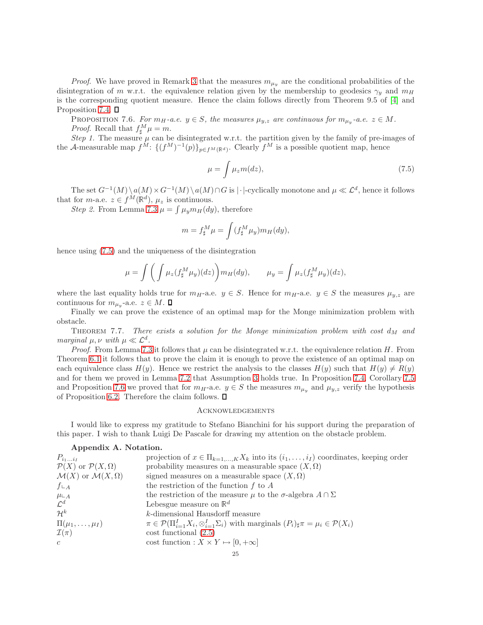*Proof.* We have proved in Remark [3](#page-22-2) that the measures  $m_{\mu_y}$  are the conditional probabilities of the disintegration of m w.r.t. the equivalence relation given by the membership to geodesics  $\gamma_y$  and  $m_H$ is the corresponding quotient measure. Hence the claim follows directly from Theorem 9.5 of [\[4\]](#page-25-4) and Proposition [7.4.](#page-22-0)  $\Box$ 

<span id="page-24-0"></span>PROPOSITION 7.6. *For*  $m_H$ -a.e.  $y \in S$ , the measures  $\mu_{y,z}$  are continuous for  $m_{\mu_y}$ -a.e.  $z \in M$ . *Proof.* Recall that  $f^M_\sharp \mu = m$ .

*Step 1.* The measure  $\mu$  can be disintegrated w.r.t. the partition given by the family of pre-images of the A-measurable map  $f^M$ :  $\{(f^M)^{-1}(p)\}_{p\in f^M(\mathbb{R}^d)}$ . Clearly  $f^M$  is a possible quotient map, hence

<span id="page-24-1"></span>
$$
\mu = \int \mu_z m(dz),\tag{7.5}
$$

The set  $G^{-1}(M)\setminus a(M) \times G^{-1}(M)\setminus a(M) \cap G$  is | $\cdot$ |-cyclically monotone and  $\mu \ll \mathcal{L}^d$ , hence it follows that for *m*-a.e.  $z \in f^M(\mathbb{R}^d)$ ,  $\mu_z$  is continuous.

Step 2. From Lemma [7.3](#page-21-1)  $\mu = \int \mu_y m_H(dy)$ , therefore

$$
m = f_{\sharp}^M \mu = \int (f_{\sharp}^M \mu_y) m_H(dy),
$$

hence using [\(7.5\)](#page-24-1) and the uniqueness of the disintegration

$$
\mu = \int \left( \int \mu_z(f_\sharp^M \mu_y)(dz) \right) m_H(dy), \qquad \mu_y = \int \mu_z(f_\sharp^M \mu_y)(dz),
$$

where the last equality holds true for  $m_H$ -a.e.  $y \in S$ . Hence for  $m_H$ -a.e.  $y \in S$  the measures  $\mu_{y,z}$  are continuous for  $m_{\mu_y}$ -a.e.  $z \in M$ .

Finally we can prove the existence of an optimal map for the Monge minimization problem with obstacle.

THEOREM 7.7. *There exists a solution for the Monge minimization problem with cost*  $d_M$  and *marginal*  $\mu, \nu$  *with*  $\mu \ll \mathcal{L}^d$ .

*Proof.* From Lemma [7.3](#page-21-1) it follows that  $\mu$  can be disintegrated w.r.t. the equivalence relation H. From Theorem [6.1](#page-16-1) it follows that to prove the claim it is enough to prove the existence of an optimal map on each equivalence class  $H(y)$ . Hence we restrict the analysis to the classes  $H(y)$  such that  $H(y) \neq R(y)$ and for them we proved in Lemma [7.2](#page-20-1) that Assumption [3](#page-17-0) holds true. In Proposition [7.4,](#page-22-0) Corollary [7.5](#page-23-0) and Proposition [7.6](#page-24-0) we proved that for  $m_H$ -a.e.  $y \in S$  the measures  $m_{\mu_y}$  and  $\mu_{y,z}$  verify the hypothesis of Proposition [6.2.](#page-18-0) Therefore the claim follows.  $\Box$ 

### **ACKNOWLEDGEMENTS**

I would like to express my gratitude to Stefano Bianchini for his support during the preparation of this paper. I wish to thank Luigi De Pascale for drawing my attention on the obstacle problem.

## Appendix A. Notation.

| $P_{i_1i_I}$                                | projection of $x \in \Pi_{k=1,,K} X_k$ into its $(i_1,,i_I)$ coordinates, keeping order                                           |
|---------------------------------------------|-----------------------------------------------------------------------------------------------------------------------------------|
| $\mathcal{P}(X)$ or $\mathcal{P}(X,\Omega)$ | probability measures on a measurable space $(X, \Omega)$                                                                          |
| $\mathcal{M}(X)$ or $\mathcal{M}(X,\Omega)$ | signed measures on a measurable space $(X, \Omega)$                                                                               |
| $f\mathop{\llcorner} A$                     | the restriction of the function $f$ to $A$                                                                                        |
| $\mu\llcorner_A$                            | the restriction of the measure $\mu$ to the $\sigma$ -algebra $A \cap \Sigma$                                                     |
| $\mathcal{L}^d$                             | Lebesgue measure on $\mathbb{R}^d$                                                                                                |
| $\mathcal{H}^k$                             | $k$ -dimensional Hausdorff measure                                                                                                |
| $\Pi(\mu_1,\ldots,\mu_I)$                   | $\pi \in \mathcal{P}(\Pi_{i=1}^I X_i, \otimes_{i=1}^I \Sigma_i)$ with marginals $(P_i)_{\sharp} \pi = \mu_i \in \mathcal{P}(X_i)$ |
| $\mathcal{I}(\pi)$                          | $\cos t$ functional $(2.5)$                                                                                                       |
| $\mathcal{C}$                               | cost function : $X \times Y \mapsto [0, +\infty]$                                                                                 |
|                                             |                                                                                                                                   |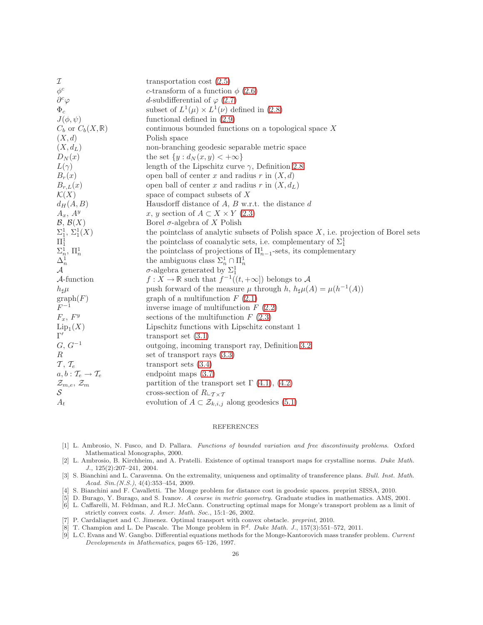| I                                                                                                                      | transportation cost $(2.5)$                                                            |
|------------------------------------------------------------------------------------------------------------------------|----------------------------------------------------------------------------------------|
| $\phi^c$                                                                                                               | c-transform of a function $\phi$ (2.6)                                                 |
| $\partial^c\varphi$                                                                                                    | d-subdifferential of $\varphi$ (2.7)                                                   |
| $\Phi_c$                                                                                                               | subset of $L^1(\mu) \times L^1(\nu)$ defined in (2.8)                                  |
| $J(\phi, \psi)$                                                                                                        | functional defined in $(2.9)$                                                          |
| $C_b$ or $C_b(X, \mathbb{R})$                                                                                          | continuous bounded functions on a topological space $X$                                |
| (X,d)                                                                                                                  | Polish space                                                                           |
| $(X, d_L)$                                                                                                             | non-branching geodesic separable metric space                                          |
| $D_N(x)$                                                                                                               | the set $\{y: d_N(x,y) < +\infty\}$                                                    |
| $L(\gamma)$                                                                                                            | length of the Lipschitz curve $\gamma$ , Definition 2.8                                |
| $B_r(x)$                                                                                                               | open ball of center x and radius r in $(X, d)$                                         |
| $B_{r,L}(x)$                                                                                                           | open ball of center x and radius r in $(X, dL)$                                        |
| $\mathcal{K}(X)$                                                                                                       | space of compact subsets of $X$                                                        |
| $d_H(A, B)$                                                                                                            | Hausdorff distance of $A, B$ w.r.t. the distance $d$                                   |
| $A_x, A_y$                                                                                                             | x, y section of $A \subset X \times Y$ (2.3)                                           |
| $\mathcal{B},\,\mathcal{B}(X)$                                                                                         | Borel $\sigma$ -algebra of X Polish                                                    |
| $\begin{array}{l} \Sigma^1_1, \Sigma^1_1(X) \ \Pi^1_1 \ \Sigma^1_n, \, \Pi^1_n \ \Delta^1_n \ \mathcal{A} \end{array}$ | the pointclass of analytic subsets of Polish space $X$ , i.e. projection of Borel sets |
|                                                                                                                        | the pointclass of coanalytic sets, i.e. complementary of $\Sigma_1^1$                  |
|                                                                                                                        | the pointclass of projections of $\Pi_{n-1}^1$ -sets, its complementary                |
|                                                                                                                        | the ambiguous class $\Sigma_n^1 \cap \Pi_n^1$                                          |
|                                                                                                                        | $\sigma$ -algebra generated by $\Sigma_1^1$                                            |
| $A$ -function                                                                                                          | $f: X \to \mathbb{R}$ such that $f^{-1}((t, +\infty])$ belongs to A                    |
| $h_{\sharp}\mu$                                                                                                        | push forward of the measure $\mu$ through h, $h_{\sharp}\mu(A) = \mu(h^{-1}(A))$       |
| $\operatorname{graph}(F)$<br>$F^{-1}$                                                                                  | graph of a multifunction $F(2.1)$                                                      |
|                                                                                                                        | inverse image of multifunction $F(2.2)$                                                |
| $F_x, F^y$                                                                                                             | sections of the multifunction $F(2.3)$                                                 |
| $\mathrm{Lip}_1(X)$                                                                                                    | Lipschitz functions with Lipschitz constant 1                                          |
| $\Gamma'$                                                                                                              | transport set $(3.1)$                                                                  |
| ${\cal G},\, {\cal G}^{-1}$                                                                                            | outgoing, incoming transport ray, Definition 3.2                                       |
| $\boldsymbol{R}$                                                                                                       | set of transport rays $(3.3)$                                                          |
| $\mathcal{T}, \mathcal{T}_e$                                                                                           | transport sets $(3.4)$                                                                 |
| $a, b: \mathcal{T}_e \rightarrow \mathcal{T}_e$                                                                        | endpoint maps $(3.7)$                                                                  |
| $\mathcal{Z}_{m,e},\,\mathcal{Z}_m$                                                                                    | partition of the transport set $\Gamma$ (4.1), (4.2)                                   |
| $\mathcal{S}_{0}$                                                                                                      | cross-section of $R\llcorner_{\mathcal{T}\times\mathcal{T}}$                           |
| $A_t$                                                                                                                  | evolution of $A \subset \mathcal{Z}_{k,i,j}$ along geodesics (5.1)                     |
|                                                                                                                        |                                                                                        |

### REFERENCES

- <span id="page-25-8"></span>[1] L. Ambrosio, N. Fusco, and D. Pallara. Functions of bounded variation and free discontinuity problems. Oxford Mathematical Monographs, 2000.
- <span id="page-25-2"></span>[2] L. Ambrosio, B. Kirchheim, and A. Pratelli. Existence of optimal transport maps for crystalline norms. Duke Math. J., 125(2):207–241, 2004.
- <span id="page-25-6"></span>[3] S. Bianchini and L. Caravenna. On the extremality, uniqueness and optimality of transference plans. Bull. Inst. Math. Acad. Sin.(N.S.), 4(4):353–454, 2009.
- <span id="page-25-7"></span><span id="page-25-4"></span>[4] S. Bianchini and F. Cavalletti. The Monge problem for distance cost in geodesic spaces. preprint SISSA, 2010.
- <span id="page-25-1"></span>[5] D. Burago, Y. Burago, and S. Ivanov. A course in metric geometry. Graduate studies in mathematics. AMS, 2001.
- [6] L. Caffarelli, M. Feldman, and R.J. McCann. Constructing optimal maps for Monge's transport problem as a limit of strictly convex costs. J. Amer. Math. Soc., 15:1–26, 2002.
- <span id="page-25-5"></span><span id="page-25-3"></span>[7] P. Cardaliaguet and C. Jimenez. Optimal transport with convex obstacle. preprint, 2010.
- <span id="page-25-0"></span>[8] T. Champion and L. De Pascale. The Monge problem in  $\mathbb{R}^d$ . Duke Math. J., 157(3):551–572, 2011.
- [9] L.C. Evans and W. Gangbo. Differential equations methods for the Monge-Kantorovich mass transfer problem. Current Developments in Mathematics, pages 65–126, 1997.